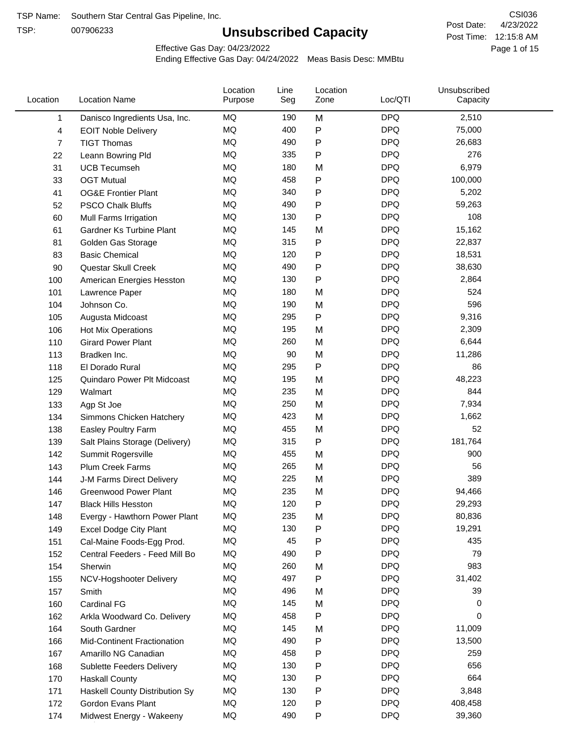TSP:

# **Unsubscribed Capacity**

4/23/2022 Page 1 of 15 Post Time: 12:15:8 AM CSI036 Post Date:

Effective Gas Day: 04/23/2022

| MQ<br><b>DPQ</b><br>190<br>M<br>2,510<br>$\mathbf{1}$<br>Danisco Ingredients Usa, Inc.<br><b>MQ</b><br><b>DPQ</b><br>400<br>P<br>75,000<br>4<br><b>EOIT Noble Delivery</b><br><b>MQ</b><br>P<br><b>DPQ</b><br>490<br>$\overline{7}$<br><b>TIGT Thomas</b><br>26,683<br><b>MQ</b><br><b>DPQ</b><br>335<br>P<br>276<br>22<br>Leann Bowring Pld<br><b>MQ</b><br><b>DPQ</b><br>180<br>M<br>6,979<br><b>UCB Tecumseh</b><br>31<br><b>DPQ</b><br>MQ<br>458<br>P<br>100,000<br>33<br><b>OGT Mutual</b><br>MQ<br>340<br>P<br><b>DPQ</b><br>5,202<br>41<br><b>OG&amp;E Frontier Plant</b><br><b>MQ</b><br><b>DPQ</b><br>490<br>P<br>52<br>59,263<br><b>PSCO Chalk Bluffs</b><br><b>MQ</b><br>P<br><b>DPQ</b><br>130<br>108<br>60<br>Mull Farms Irrigation<br>MQ<br><b>DPQ</b><br>145<br>M<br>15,162<br>61<br><b>Gardner Ks Turbine Plant</b><br><b>DPQ</b><br>MQ<br>315<br>P<br>22,837<br>81<br>Golden Gas Storage<br><b>MQ</b><br>P<br><b>DPQ</b><br>120<br>83<br><b>Basic Chemical</b><br>18,531<br><b>MQ</b><br><b>DPQ</b><br>490<br>P<br>90<br>Questar Skull Creek<br>38,630<br><b>MQ</b><br><b>DPQ</b><br>130<br>Ρ<br>2,864<br>100<br>American Energies Hesston<br>MQ<br><b>DPQ</b><br>524<br>180<br>101<br>Lawrence Paper<br>M<br><b>DPQ</b><br>596<br>MQ<br>190<br>M<br>104<br>Johnson Co.<br><b>MQ</b><br><b>DPQ</b><br>295<br>P<br>9,316<br>105<br>Augusta Midcoast<br><b>MQ</b><br><b>DPQ</b><br>195<br>M<br>2,309<br>106<br><b>Hot Mix Operations</b><br><b>DPQ</b><br>MQ<br>260<br><b>Girard Power Plant</b><br>M<br>6,644<br>110<br><b>MQ</b><br><b>DPQ</b><br>90<br>M<br>113<br>11,286<br>Bradken Inc.<br>MQ<br>295<br>P<br><b>DPQ</b><br>86<br>118<br>El Dorado Rural<br><b>MQ</b><br><b>DPQ</b><br>195<br>125<br>M<br>48,223<br>Quindaro Power Plt Midcoast<br><b>MQ</b><br><b>DPQ</b><br>235<br>844<br>M<br>129<br>Walmart<br><b>MQ</b><br>250<br>M<br><b>DPQ</b><br>7,934<br>133<br>Agp St Joe<br><b>MQ</b><br><b>DPQ</b><br>423<br>M<br>1,662<br>134<br>Simmons Chicken Hatchery<br><b>DPQ</b><br>MQ<br>455<br>52<br>M<br>138<br>Easley Poultry Farm<br><b>MQ</b><br>P<br><b>DPQ</b><br>315<br>181,764<br>139<br>Salt Plains Storage (Delivery)<br><b>DPQ</b><br>MQ<br>900<br>142<br>455<br>M<br>Summit Rogersville<br>MQ<br>265<br>M<br><b>DPQ</b><br>56<br>143<br>Plum Creek Farms<br>389<br>MQ<br>225<br><b>DPQ</b><br>144<br>J-M Farms Direct Delivery<br>M<br>MQ<br>235<br><b>DPQ</b><br><b>Greenwood Power Plant</b><br>M<br>94,466<br>146<br><b>DPQ</b><br>29,293<br>MQ<br>120<br>P<br>147<br><b>Black Hills Hesston</b><br><b>DPQ</b><br>MQ<br>235<br>M<br>80,836<br>148<br>Evergy - Hawthorn Power Plant<br>MQ<br>130<br>P<br><b>DPQ</b><br>19,291<br>149<br><b>Excel Dodge City Plant</b><br>MQ<br>45<br>Ρ<br><b>DPQ</b><br>435<br>151<br>Cal-Maine Foods-Egg Prod.<br>MQ<br><b>DPQ</b><br>490<br>P<br>79<br>152<br>Central Feeders - Feed Mill Bo<br><b>DPQ</b><br>MQ<br>260<br>983<br>154<br>M<br>Sherwin<br>MQ<br>497<br><b>DPQ</b><br>31,402<br>P<br>NCV-Hogshooter Delivery<br>155<br>MQ<br><b>DPQ</b><br>496<br>39<br>M<br>157<br>Smith<br>MQ<br>145<br><b>DPQ</b><br>M<br>0<br>160<br><b>Cardinal FG</b><br><b>DPQ</b><br>MQ<br>458<br>P<br>0<br>162<br>Arkla Woodward Co. Delivery<br>MQ<br><b>DPQ</b><br>145<br>M<br>11,009<br>164<br>South Gardner<br>MQ<br>490<br>P<br><b>DPQ</b><br>13,500<br>166<br>Mid-Continent Fractionation<br>MQ<br>458<br>Ρ<br><b>DPQ</b><br>259<br>167<br>Amarillo NG Canadian<br>MQ<br><b>DPQ</b><br>656<br>130<br>P<br>168<br>Sublette Feeders Delivery<br><b>DPQ</b><br>MQ<br>Ρ<br>664<br>130<br>170<br><b>Haskall County</b><br>MQ<br><b>DPQ</b><br>130<br>Ρ<br>3,848<br>171<br>Haskell County Distribution Sy<br>MQ<br>120<br>Ρ<br><b>DPQ</b><br>408,458<br>172<br>Gordon Evans Plant<br>MQ<br>490<br><b>DPQ</b><br>P<br>39,360<br>174<br>Midwest Energy - Wakeeny | Location | <b>Location Name</b> | Location<br>Purpose | Line<br>Seg | Location<br>Zone | Loc/QTI | Unsubscribed<br>Capacity |  |
|---------------------------------------------------------------------------------------------------------------------------------------------------------------------------------------------------------------------------------------------------------------------------------------------------------------------------------------------------------------------------------------------------------------------------------------------------------------------------------------------------------------------------------------------------------------------------------------------------------------------------------------------------------------------------------------------------------------------------------------------------------------------------------------------------------------------------------------------------------------------------------------------------------------------------------------------------------------------------------------------------------------------------------------------------------------------------------------------------------------------------------------------------------------------------------------------------------------------------------------------------------------------------------------------------------------------------------------------------------------------------------------------------------------------------------------------------------------------------------------------------------------------------------------------------------------------------------------------------------------------------------------------------------------------------------------------------------------------------------------------------------------------------------------------------------------------------------------------------------------------------------------------------------------------------------------------------------------------------------------------------------------------------------------------------------------------------------------------------------------------------------------------------------------------------------------------------------------------------------------------------------------------------------------------------------------------------------------------------------------------------------------------------------------------------------------------------------------------------------------------------------------------------------------------------------------------------------------------------------------------------------------------------------------------------------------------------------------------------------------------------------------------------------------------------------------------------------------------------------------------------------------------------------------------------------------------------------------------------------------------------------------------------------------------------------------------------------------------------------------------------------------------------------------------------------------------------------------------------------------------------------------------------------------------------------------------------------------------------------------------------------------------------------------------------------------------------------------------------------------------------------------------------------------------------------------------------------------------------------------------------------------------------------------------------------------------------------------------------------------------------------------------------------------------------------------------------------|----------|----------------------|---------------------|-------------|------------------|---------|--------------------------|--|
|                                                                                                                                                                                                                                                                                                                                                                                                                                                                                                                                                                                                                                                                                                                                                                                                                                                                                                                                                                                                                                                                                                                                                                                                                                                                                                                                                                                                                                                                                                                                                                                                                                                                                                                                                                                                                                                                                                                                                                                                                                                                                                                                                                                                                                                                                                                                                                                                                                                                                                                                                                                                                                                                                                                                                                                                                                                                                                                                                                                                                                                                                                                                                                                                                                                                                                                                                                                                                                                                                                                                                                                                                                                                                                                                                                                                                                 |          |                      |                     |             |                  |         |                          |  |
|                                                                                                                                                                                                                                                                                                                                                                                                                                                                                                                                                                                                                                                                                                                                                                                                                                                                                                                                                                                                                                                                                                                                                                                                                                                                                                                                                                                                                                                                                                                                                                                                                                                                                                                                                                                                                                                                                                                                                                                                                                                                                                                                                                                                                                                                                                                                                                                                                                                                                                                                                                                                                                                                                                                                                                                                                                                                                                                                                                                                                                                                                                                                                                                                                                                                                                                                                                                                                                                                                                                                                                                                                                                                                                                                                                                                                                 |          |                      |                     |             |                  |         |                          |  |
|                                                                                                                                                                                                                                                                                                                                                                                                                                                                                                                                                                                                                                                                                                                                                                                                                                                                                                                                                                                                                                                                                                                                                                                                                                                                                                                                                                                                                                                                                                                                                                                                                                                                                                                                                                                                                                                                                                                                                                                                                                                                                                                                                                                                                                                                                                                                                                                                                                                                                                                                                                                                                                                                                                                                                                                                                                                                                                                                                                                                                                                                                                                                                                                                                                                                                                                                                                                                                                                                                                                                                                                                                                                                                                                                                                                                                                 |          |                      |                     |             |                  |         |                          |  |
|                                                                                                                                                                                                                                                                                                                                                                                                                                                                                                                                                                                                                                                                                                                                                                                                                                                                                                                                                                                                                                                                                                                                                                                                                                                                                                                                                                                                                                                                                                                                                                                                                                                                                                                                                                                                                                                                                                                                                                                                                                                                                                                                                                                                                                                                                                                                                                                                                                                                                                                                                                                                                                                                                                                                                                                                                                                                                                                                                                                                                                                                                                                                                                                                                                                                                                                                                                                                                                                                                                                                                                                                                                                                                                                                                                                                                                 |          |                      |                     |             |                  |         |                          |  |
|                                                                                                                                                                                                                                                                                                                                                                                                                                                                                                                                                                                                                                                                                                                                                                                                                                                                                                                                                                                                                                                                                                                                                                                                                                                                                                                                                                                                                                                                                                                                                                                                                                                                                                                                                                                                                                                                                                                                                                                                                                                                                                                                                                                                                                                                                                                                                                                                                                                                                                                                                                                                                                                                                                                                                                                                                                                                                                                                                                                                                                                                                                                                                                                                                                                                                                                                                                                                                                                                                                                                                                                                                                                                                                                                                                                                                                 |          |                      |                     |             |                  |         |                          |  |
|                                                                                                                                                                                                                                                                                                                                                                                                                                                                                                                                                                                                                                                                                                                                                                                                                                                                                                                                                                                                                                                                                                                                                                                                                                                                                                                                                                                                                                                                                                                                                                                                                                                                                                                                                                                                                                                                                                                                                                                                                                                                                                                                                                                                                                                                                                                                                                                                                                                                                                                                                                                                                                                                                                                                                                                                                                                                                                                                                                                                                                                                                                                                                                                                                                                                                                                                                                                                                                                                                                                                                                                                                                                                                                                                                                                                                                 |          |                      |                     |             |                  |         |                          |  |
|                                                                                                                                                                                                                                                                                                                                                                                                                                                                                                                                                                                                                                                                                                                                                                                                                                                                                                                                                                                                                                                                                                                                                                                                                                                                                                                                                                                                                                                                                                                                                                                                                                                                                                                                                                                                                                                                                                                                                                                                                                                                                                                                                                                                                                                                                                                                                                                                                                                                                                                                                                                                                                                                                                                                                                                                                                                                                                                                                                                                                                                                                                                                                                                                                                                                                                                                                                                                                                                                                                                                                                                                                                                                                                                                                                                                                                 |          |                      |                     |             |                  |         |                          |  |
|                                                                                                                                                                                                                                                                                                                                                                                                                                                                                                                                                                                                                                                                                                                                                                                                                                                                                                                                                                                                                                                                                                                                                                                                                                                                                                                                                                                                                                                                                                                                                                                                                                                                                                                                                                                                                                                                                                                                                                                                                                                                                                                                                                                                                                                                                                                                                                                                                                                                                                                                                                                                                                                                                                                                                                                                                                                                                                                                                                                                                                                                                                                                                                                                                                                                                                                                                                                                                                                                                                                                                                                                                                                                                                                                                                                                                                 |          |                      |                     |             |                  |         |                          |  |
|                                                                                                                                                                                                                                                                                                                                                                                                                                                                                                                                                                                                                                                                                                                                                                                                                                                                                                                                                                                                                                                                                                                                                                                                                                                                                                                                                                                                                                                                                                                                                                                                                                                                                                                                                                                                                                                                                                                                                                                                                                                                                                                                                                                                                                                                                                                                                                                                                                                                                                                                                                                                                                                                                                                                                                                                                                                                                                                                                                                                                                                                                                                                                                                                                                                                                                                                                                                                                                                                                                                                                                                                                                                                                                                                                                                                                                 |          |                      |                     |             |                  |         |                          |  |
|                                                                                                                                                                                                                                                                                                                                                                                                                                                                                                                                                                                                                                                                                                                                                                                                                                                                                                                                                                                                                                                                                                                                                                                                                                                                                                                                                                                                                                                                                                                                                                                                                                                                                                                                                                                                                                                                                                                                                                                                                                                                                                                                                                                                                                                                                                                                                                                                                                                                                                                                                                                                                                                                                                                                                                                                                                                                                                                                                                                                                                                                                                                                                                                                                                                                                                                                                                                                                                                                                                                                                                                                                                                                                                                                                                                                                                 |          |                      |                     |             |                  |         |                          |  |
|                                                                                                                                                                                                                                                                                                                                                                                                                                                                                                                                                                                                                                                                                                                                                                                                                                                                                                                                                                                                                                                                                                                                                                                                                                                                                                                                                                                                                                                                                                                                                                                                                                                                                                                                                                                                                                                                                                                                                                                                                                                                                                                                                                                                                                                                                                                                                                                                                                                                                                                                                                                                                                                                                                                                                                                                                                                                                                                                                                                                                                                                                                                                                                                                                                                                                                                                                                                                                                                                                                                                                                                                                                                                                                                                                                                                                                 |          |                      |                     |             |                  |         |                          |  |
|                                                                                                                                                                                                                                                                                                                                                                                                                                                                                                                                                                                                                                                                                                                                                                                                                                                                                                                                                                                                                                                                                                                                                                                                                                                                                                                                                                                                                                                                                                                                                                                                                                                                                                                                                                                                                                                                                                                                                                                                                                                                                                                                                                                                                                                                                                                                                                                                                                                                                                                                                                                                                                                                                                                                                                                                                                                                                                                                                                                                                                                                                                                                                                                                                                                                                                                                                                                                                                                                                                                                                                                                                                                                                                                                                                                                                                 |          |                      |                     |             |                  |         |                          |  |
|                                                                                                                                                                                                                                                                                                                                                                                                                                                                                                                                                                                                                                                                                                                                                                                                                                                                                                                                                                                                                                                                                                                                                                                                                                                                                                                                                                                                                                                                                                                                                                                                                                                                                                                                                                                                                                                                                                                                                                                                                                                                                                                                                                                                                                                                                                                                                                                                                                                                                                                                                                                                                                                                                                                                                                                                                                                                                                                                                                                                                                                                                                                                                                                                                                                                                                                                                                                                                                                                                                                                                                                                                                                                                                                                                                                                                                 |          |                      |                     |             |                  |         |                          |  |
|                                                                                                                                                                                                                                                                                                                                                                                                                                                                                                                                                                                                                                                                                                                                                                                                                                                                                                                                                                                                                                                                                                                                                                                                                                                                                                                                                                                                                                                                                                                                                                                                                                                                                                                                                                                                                                                                                                                                                                                                                                                                                                                                                                                                                                                                                                                                                                                                                                                                                                                                                                                                                                                                                                                                                                                                                                                                                                                                                                                                                                                                                                                                                                                                                                                                                                                                                                                                                                                                                                                                                                                                                                                                                                                                                                                                                                 |          |                      |                     |             |                  |         |                          |  |
|                                                                                                                                                                                                                                                                                                                                                                                                                                                                                                                                                                                                                                                                                                                                                                                                                                                                                                                                                                                                                                                                                                                                                                                                                                                                                                                                                                                                                                                                                                                                                                                                                                                                                                                                                                                                                                                                                                                                                                                                                                                                                                                                                                                                                                                                                                                                                                                                                                                                                                                                                                                                                                                                                                                                                                                                                                                                                                                                                                                                                                                                                                                                                                                                                                                                                                                                                                                                                                                                                                                                                                                                                                                                                                                                                                                                                                 |          |                      |                     |             |                  |         |                          |  |
|                                                                                                                                                                                                                                                                                                                                                                                                                                                                                                                                                                                                                                                                                                                                                                                                                                                                                                                                                                                                                                                                                                                                                                                                                                                                                                                                                                                                                                                                                                                                                                                                                                                                                                                                                                                                                                                                                                                                                                                                                                                                                                                                                                                                                                                                                                                                                                                                                                                                                                                                                                                                                                                                                                                                                                                                                                                                                                                                                                                                                                                                                                                                                                                                                                                                                                                                                                                                                                                                                                                                                                                                                                                                                                                                                                                                                                 |          |                      |                     |             |                  |         |                          |  |
|                                                                                                                                                                                                                                                                                                                                                                                                                                                                                                                                                                                                                                                                                                                                                                                                                                                                                                                                                                                                                                                                                                                                                                                                                                                                                                                                                                                                                                                                                                                                                                                                                                                                                                                                                                                                                                                                                                                                                                                                                                                                                                                                                                                                                                                                                                                                                                                                                                                                                                                                                                                                                                                                                                                                                                                                                                                                                                                                                                                                                                                                                                                                                                                                                                                                                                                                                                                                                                                                                                                                                                                                                                                                                                                                                                                                                                 |          |                      |                     |             |                  |         |                          |  |
|                                                                                                                                                                                                                                                                                                                                                                                                                                                                                                                                                                                                                                                                                                                                                                                                                                                                                                                                                                                                                                                                                                                                                                                                                                                                                                                                                                                                                                                                                                                                                                                                                                                                                                                                                                                                                                                                                                                                                                                                                                                                                                                                                                                                                                                                                                                                                                                                                                                                                                                                                                                                                                                                                                                                                                                                                                                                                                                                                                                                                                                                                                                                                                                                                                                                                                                                                                                                                                                                                                                                                                                                                                                                                                                                                                                                                                 |          |                      |                     |             |                  |         |                          |  |
|                                                                                                                                                                                                                                                                                                                                                                                                                                                                                                                                                                                                                                                                                                                                                                                                                                                                                                                                                                                                                                                                                                                                                                                                                                                                                                                                                                                                                                                                                                                                                                                                                                                                                                                                                                                                                                                                                                                                                                                                                                                                                                                                                                                                                                                                                                                                                                                                                                                                                                                                                                                                                                                                                                                                                                                                                                                                                                                                                                                                                                                                                                                                                                                                                                                                                                                                                                                                                                                                                                                                                                                                                                                                                                                                                                                                                                 |          |                      |                     |             |                  |         |                          |  |
|                                                                                                                                                                                                                                                                                                                                                                                                                                                                                                                                                                                                                                                                                                                                                                                                                                                                                                                                                                                                                                                                                                                                                                                                                                                                                                                                                                                                                                                                                                                                                                                                                                                                                                                                                                                                                                                                                                                                                                                                                                                                                                                                                                                                                                                                                                                                                                                                                                                                                                                                                                                                                                                                                                                                                                                                                                                                                                                                                                                                                                                                                                                                                                                                                                                                                                                                                                                                                                                                                                                                                                                                                                                                                                                                                                                                                                 |          |                      |                     |             |                  |         |                          |  |
|                                                                                                                                                                                                                                                                                                                                                                                                                                                                                                                                                                                                                                                                                                                                                                                                                                                                                                                                                                                                                                                                                                                                                                                                                                                                                                                                                                                                                                                                                                                                                                                                                                                                                                                                                                                                                                                                                                                                                                                                                                                                                                                                                                                                                                                                                                                                                                                                                                                                                                                                                                                                                                                                                                                                                                                                                                                                                                                                                                                                                                                                                                                                                                                                                                                                                                                                                                                                                                                                                                                                                                                                                                                                                                                                                                                                                                 |          |                      |                     |             |                  |         |                          |  |
|                                                                                                                                                                                                                                                                                                                                                                                                                                                                                                                                                                                                                                                                                                                                                                                                                                                                                                                                                                                                                                                                                                                                                                                                                                                                                                                                                                                                                                                                                                                                                                                                                                                                                                                                                                                                                                                                                                                                                                                                                                                                                                                                                                                                                                                                                                                                                                                                                                                                                                                                                                                                                                                                                                                                                                                                                                                                                                                                                                                                                                                                                                                                                                                                                                                                                                                                                                                                                                                                                                                                                                                                                                                                                                                                                                                                                                 |          |                      |                     |             |                  |         |                          |  |
|                                                                                                                                                                                                                                                                                                                                                                                                                                                                                                                                                                                                                                                                                                                                                                                                                                                                                                                                                                                                                                                                                                                                                                                                                                                                                                                                                                                                                                                                                                                                                                                                                                                                                                                                                                                                                                                                                                                                                                                                                                                                                                                                                                                                                                                                                                                                                                                                                                                                                                                                                                                                                                                                                                                                                                                                                                                                                                                                                                                                                                                                                                                                                                                                                                                                                                                                                                                                                                                                                                                                                                                                                                                                                                                                                                                                                                 |          |                      |                     |             |                  |         |                          |  |
|                                                                                                                                                                                                                                                                                                                                                                                                                                                                                                                                                                                                                                                                                                                                                                                                                                                                                                                                                                                                                                                                                                                                                                                                                                                                                                                                                                                                                                                                                                                                                                                                                                                                                                                                                                                                                                                                                                                                                                                                                                                                                                                                                                                                                                                                                                                                                                                                                                                                                                                                                                                                                                                                                                                                                                                                                                                                                                                                                                                                                                                                                                                                                                                                                                                                                                                                                                                                                                                                                                                                                                                                                                                                                                                                                                                                                                 |          |                      |                     |             |                  |         |                          |  |
|                                                                                                                                                                                                                                                                                                                                                                                                                                                                                                                                                                                                                                                                                                                                                                                                                                                                                                                                                                                                                                                                                                                                                                                                                                                                                                                                                                                                                                                                                                                                                                                                                                                                                                                                                                                                                                                                                                                                                                                                                                                                                                                                                                                                                                                                                                                                                                                                                                                                                                                                                                                                                                                                                                                                                                                                                                                                                                                                                                                                                                                                                                                                                                                                                                                                                                                                                                                                                                                                                                                                                                                                                                                                                                                                                                                                                                 |          |                      |                     |             |                  |         |                          |  |
|                                                                                                                                                                                                                                                                                                                                                                                                                                                                                                                                                                                                                                                                                                                                                                                                                                                                                                                                                                                                                                                                                                                                                                                                                                                                                                                                                                                                                                                                                                                                                                                                                                                                                                                                                                                                                                                                                                                                                                                                                                                                                                                                                                                                                                                                                                                                                                                                                                                                                                                                                                                                                                                                                                                                                                                                                                                                                                                                                                                                                                                                                                                                                                                                                                                                                                                                                                                                                                                                                                                                                                                                                                                                                                                                                                                                                                 |          |                      |                     |             |                  |         |                          |  |
|                                                                                                                                                                                                                                                                                                                                                                                                                                                                                                                                                                                                                                                                                                                                                                                                                                                                                                                                                                                                                                                                                                                                                                                                                                                                                                                                                                                                                                                                                                                                                                                                                                                                                                                                                                                                                                                                                                                                                                                                                                                                                                                                                                                                                                                                                                                                                                                                                                                                                                                                                                                                                                                                                                                                                                                                                                                                                                                                                                                                                                                                                                                                                                                                                                                                                                                                                                                                                                                                                                                                                                                                                                                                                                                                                                                                                                 |          |                      |                     |             |                  |         |                          |  |
|                                                                                                                                                                                                                                                                                                                                                                                                                                                                                                                                                                                                                                                                                                                                                                                                                                                                                                                                                                                                                                                                                                                                                                                                                                                                                                                                                                                                                                                                                                                                                                                                                                                                                                                                                                                                                                                                                                                                                                                                                                                                                                                                                                                                                                                                                                                                                                                                                                                                                                                                                                                                                                                                                                                                                                                                                                                                                                                                                                                                                                                                                                                                                                                                                                                                                                                                                                                                                                                                                                                                                                                                                                                                                                                                                                                                                                 |          |                      |                     |             |                  |         |                          |  |
|                                                                                                                                                                                                                                                                                                                                                                                                                                                                                                                                                                                                                                                                                                                                                                                                                                                                                                                                                                                                                                                                                                                                                                                                                                                                                                                                                                                                                                                                                                                                                                                                                                                                                                                                                                                                                                                                                                                                                                                                                                                                                                                                                                                                                                                                                                                                                                                                                                                                                                                                                                                                                                                                                                                                                                                                                                                                                                                                                                                                                                                                                                                                                                                                                                                                                                                                                                                                                                                                                                                                                                                                                                                                                                                                                                                                                                 |          |                      |                     |             |                  |         |                          |  |
|                                                                                                                                                                                                                                                                                                                                                                                                                                                                                                                                                                                                                                                                                                                                                                                                                                                                                                                                                                                                                                                                                                                                                                                                                                                                                                                                                                                                                                                                                                                                                                                                                                                                                                                                                                                                                                                                                                                                                                                                                                                                                                                                                                                                                                                                                                                                                                                                                                                                                                                                                                                                                                                                                                                                                                                                                                                                                                                                                                                                                                                                                                                                                                                                                                                                                                                                                                                                                                                                                                                                                                                                                                                                                                                                                                                                                                 |          |                      |                     |             |                  |         |                          |  |
|                                                                                                                                                                                                                                                                                                                                                                                                                                                                                                                                                                                                                                                                                                                                                                                                                                                                                                                                                                                                                                                                                                                                                                                                                                                                                                                                                                                                                                                                                                                                                                                                                                                                                                                                                                                                                                                                                                                                                                                                                                                                                                                                                                                                                                                                                                                                                                                                                                                                                                                                                                                                                                                                                                                                                                                                                                                                                                                                                                                                                                                                                                                                                                                                                                                                                                                                                                                                                                                                                                                                                                                                                                                                                                                                                                                                                                 |          |                      |                     |             |                  |         |                          |  |
|                                                                                                                                                                                                                                                                                                                                                                                                                                                                                                                                                                                                                                                                                                                                                                                                                                                                                                                                                                                                                                                                                                                                                                                                                                                                                                                                                                                                                                                                                                                                                                                                                                                                                                                                                                                                                                                                                                                                                                                                                                                                                                                                                                                                                                                                                                                                                                                                                                                                                                                                                                                                                                                                                                                                                                                                                                                                                                                                                                                                                                                                                                                                                                                                                                                                                                                                                                                                                                                                                                                                                                                                                                                                                                                                                                                                                                 |          |                      |                     |             |                  |         |                          |  |
|                                                                                                                                                                                                                                                                                                                                                                                                                                                                                                                                                                                                                                                                                                                                                                                                                                                                                                                                                                                                                                                                                                                                                                                                                                                                                                                                                                                                                                                                                                                                                                                                                                                                                                                                                                                                                                                                                                                                                                                                                                                                                                                                                                                                                                                                                                                                                                                                                                                                                                                                                                                                                                                                                                                                                                                                                                                                                                                                                                                                                                                                                                                                                                                                                                                                                                                                                                                                                                                                                                                                                                                                                                                                                                                                                                                                                                 |          |                      |                     |             |                  |         |                          |  |
|                                                                                                                                                                                                                                                                                                                                                                                                                                                                                                                                                                                                                                                                                                                                                                                                                                                                                                                                                                                                                                                                                                                                                                                                                                                                                                                                                                                                                                                                                                                                                                                                                                                                                                                                                                                                                                                                                                                                                                                                                                                                                                                                                                                                                                                                                                                                                                                                                                                                                                                                                                                                                                                                                                                                                                                                                                                                                                                                                                                                                                                                                                                                                                                                                                                                                                                                                                                                                                                                                                                                                                                                                                                                                                                                                                                                                                 |          |                      |                     |             |                  |         |                          |  |
|                                                                                                                                                                                                                                                                                                                                                                                                                                                                                                                                                                                                                                                                                                                                                                                                                                                                                                                                                                                                                                                                                                                                                                                                                                                                                                                                                                                                                                                                                                                                                                                                                                                                                                                                                                                                                                                                                                                                                                                                                                                                                                                                                                                                                                                                                                                                                                                                                                                                                                                                                                                                                                                                                                                                                                                                                                                                                                                                                                                                                                                                                                                                                                                                                                                                                                                                                                                                                                                                                                                                                                                                                                                                                                                                                                                                                                 |          |                      |                     |             |                  |         |                          |  |
|                                                                                                                                                                                                                                                                                                                                                                                                                                                                                                                                                                                                                                                                                                                                                                                                                                                                                                                                                                                                                                                                                                                                                                                                                                                                                                                                                                                                                                                                                                                                                                                                                                                                                                                                                                                                                                                                                                                                                                                                                                                                                                                                                                                                                                                                                                                                                                                                                                                                                                                                                                                                                                                                                                                                                                                                                                                                                                                                                                                                                                                                                                                                                                                                                                                                                                                                                                                                                                                                                                                                                                                                                                                                                                                                                                                                                                 |          |                      |                     |             |                  |         |                          |  |
|                                                                                                                                                                                                                                                                                                                                                                                                                                                                                                                                                                                                                                                                                                                                                                                                                                                                                                                                                                                                                                                                                                                                                                                                                                                                                                                                                                                                                                                                                                                                                                                                                                                                                                                                                                                                                                                                                                                                                                                                                                                                                                                                                                                                                                                                                                                                                                                                                                                                                                                                                                                                                                                                                                                                                                                                                                                                                                                                                                                                                                                                                                                                                                                                                                                                                                                                                                                                                                                                                                                                                                                                                                                                                                                                                                                                                                 |          |                      |                     |             |                  |         |                          |  |
|                                                                                                                                                                                                                                                                                                                                                                                                                                                                                                                                                                                                                                                                                                                                                                                                                                                                                                                                                                                                                                                                                                                                                                                                                                                                                                                                                                                                                                                                                                                                                                                                                                                                                                                                                                                                                                                                                                                                                                                                                                                                                                                                                                                                                                                                                                                                                                                                                                                                                                                                                                                                                                                                                                                                                                                                                                                                                                                                                                                                                                                                                                                                                                                                                                                                                                                                                                                                                                                                                                                                                                                                                                                                                                                                                                                                                                 |          |                      |                     |             |                  |         |                          |  |
|                                                                                                                                                                                                                                                                                                                                                                                                                                                                                                                                                                                                                                                                                                                                                                                                                                                                                                                                                                                                                                                                                                                                                                                                                                                                                                                                                                                                                                                                                                                                                                                                                                                                                                                                                                                                                                                                                                                                                                                                                                                                                                                                                                                                                                                                                                                                                                                                                                                                                                                                                                                                                                                                                                                                                                                                                                                                                                                                                                                                                                                                                                                                                                                                                                                                                                                                                                                                                                                                                                                                                                                                                                                                                                                                                                                                                                 |          |                      |                     |             |                  |         |                          |  |
|                                                                                                                                                                                                                                                                                                                                                                                                                                                                                                                                                                                                                                                                                                                                                                                                                                                                                                                                                                                                                                                                                                                                                                                                                                                                                                                                                                                                                                                                                                                                                                                                                                                                                                                                                                                                                                                                                                                                                                                                                                                                                                                                                                                                                                                                                                                                                                                                                                                                                                                                                                                                                                                                                                                                                                                                                                                                                                                                                                                                                                                                                                                                                                                                                                                                                                                                                                                                                                                                                                                                                                                                                                                                                                                                                                                                                                 |          |                      |                     |             |                  |         |                          |  |
|                                                                                                                                                                                                                                                                                                                                                                                                                                                                                                                                                                                                                                                                                                                                                                                                                                                                                                                                                                                                                                                                                                                                                                                                                                                                                                                                                                                                                                                                                                                                                                                                                                                                                                                                                                                                                                                                                                                                                                                                                                                                                                                                                                                                                                                                                                                                                                                                                                                                                                                                                                                                                                                                                                                                                                                                                                                                                                                                                                                                                                                                                                                                                                                                                                                                                                                                                                                                                                                                                                                                                                                                                                                                                                                                                                                                                                 |          |                      |                     |             |                  |         |                          |  |
|                                                                                                                                                                                                                                                                                                                                                                                                                                                                                                                                                                                                                                                                                                                                                                                                                                                                                                                                                                                                                                                                                                                                                                                                                                                                                                                                                                                                                                                                                                                                                                                                                                                                                                                                                                                                                                                                                                                                                                                                                                                                                                                                                                                                                                                                                                                                                                                                                                                                                                                                                                                                                                                                                                                                                                                                                                                                                                                                                                                                                                                                                                                                                                                                                                                                                                                                                                                                                                                                                                                                                                                                                                                                                                                                                                                                                                 |          |                      |                     |             |                  |         |                          |  |
|                                                                                                                                                                                                                                                                                                                                                                                                                                                                                                                                                                                                                                                                                                                                                                                                                                                                                                                                                                                                                                                                                                                                                                                                                                                                                                                                                                                                                                                                                                                                                                                                                                                                                                                                                                                                                                                                                                                                                                                                                                                                                                                                                                                                                                                                                                                                                                                                                                                                                                                                                                                                                                                                                                                                                                                                                                                                                                                                                                                                                                                                                                                                                                                                                                                                                                                                                                                                                                                                                                                                                                                                                                                                                                                                                                                                                                 |          |                      |                     |             |                  |         |                          |  |
|                                                                                                                                                                                                                                                                                                                                                                                                                                                                                                                                                                                                                                                                                                                                                                                                                                                                                                                                                                                                                                                                                                                                                                                                                                                                                                                                                                                                                                                                                                                                                                                                                                                                                                                                                                                                                                                                                                                                                                                                                                                                                                                                                                                                                                                                                                                                                                                                                                                                                                                                                                                                                                                                                                                                                                                                                                                                                                                                                                                                                                                                                                                                                                                                                                                                                                                                                                                                                                                                                                                                                                                                                                                                                                                                                                                                                                 |          |                      |                     |             |                  |         |                          |  |
|                                                                                                                                                                                                                                                                                                                                                                                                                                                                                                                                                                                                                                                                                                                                                                                                                                                                                                                                                                                                                                                                                                                                                                                                                                                                                                                                                                                                                                                                                                                                                                                                                                                                                                                                                                                                                                                                                                                                                                                                                                                                                                                                                                                                                                                                                                                                                                                                                                                                                                                                                                                                                                                                                                                                                                                                                                                                                                                                                                                                                                                                                                                                                                                                                                                                                                                                                                                                                                                                                                                                                                                                                                                                                                                                                                                                                                 |          |                      |                     |             |                  |         |                          |  |
|                                                                                                                                                                                                                                                                                                                                                                                                                                                                                                                                                                                                                                                                                                                                                                                                                                                                                                                                                                                                                                                                                                                                                                                                                                                                                                                                                                                                                                                                                                                                                                                                                                                                                                                                                                                                                                                                                                                                                                                                                                                                                                                                                                                                                                                                                                                                                                                                                                                                                                                                                                                                                                                                                                                                                                                                                                                                                                                                                                                                                                                                                                                                                                                                                                                                                                                                                                                                                                                                                                                                                                                                                                                                                                                                                                                                                                 |          |                      |                     |             |                  |         |                          |  |
|                                                                                                                                                                                                                                                                                                                                                                                                                                                                                                                                                                                                                                                                                                                                                                                                                                                                                                                                                                                                                                                                                                                                                                                                                                                                                                                                                                                                                                                                                                                                                                                                                                                                                                                                                                                                                                                                                                                                                                                                                                                                                                                                                                                                                                                                                                                                                                                                                                                                                                                                                                                                                                                                                                                                                                                                                                                                                                                                                                                                                                                                                                                                                                                                                                                                                                                                                                                                                                                                                                                                                                                                                                                                                                                                                                                                                                 |          |                      |                     |             |                  |         |                          |  |
|                                                                                                                                                                                                                                                                                                                                                                                                                                                                                                                                                                                                                                                                                                                                                                                                                                                                                                                                                                                                                                                                                                                                                                                                                                                                                                                                                                                                                                                                                                                                                                                                                                                                                                                                                                                                                                                                                                                                                                                                                                                                                                                                                                                                                                                                                                                                                                                                                                                                                                                                                                                                                                                                                                                                                                                                                                                                                                                                                                                                                                                                                                                                                                                                                                                                                                                                                                                                                                                                                                                                                                                                                                                                                                                                                                                                                                 |          |                      |                     |             |                  |         |                          |  |
|                                                                                                                                                                                                                                                                                                                                                                                                                                                                                                                                                                                                                                                                                                                                                                                                                                                                                                                                                                                                                                                                                                                                                                                                                                                                                                                                                                                                                                                                                                                                                                                                                                                                                                                                                                                                                                                                                                                                                                                                                                                                                                                                                                                                                                                                                                                                                                                                                                                                                                                                                                                                                                                                                                                                                                                                                                                                                                                                                                                                                                                                                                                                                                                                                                                                                                                                                                                                                                                                                                                                                                                                                                                                                                                                                                                                                                 |          |                      |                     |             |                  |         |                          |  |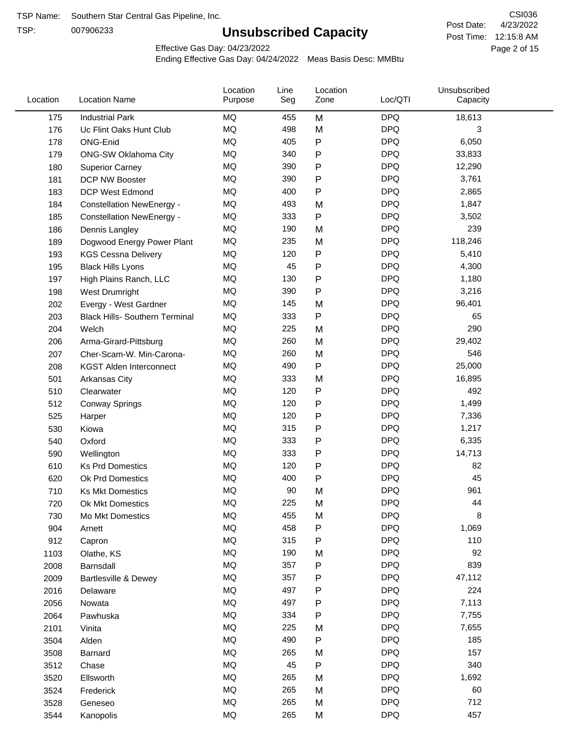TSP:

# **Unsubscribed Capacity**

4/23/2022 Page 2 of 15 Post Time: 12:15:8 AM CSI036 Post Date:

Effective Gas Day: 04/23/2022

| Location | <b>Location Name</b>                  | Location<br>Purpose | Line<br>Seg | Location<br>Zone | Loc/QTI    | Unsubscribed<br>Capacity |  |
|----------|---------------------------------------|---------------------|-------------|------------------|------------|--------------------------|--|
| 175      | <b>Industrial Park</b>                | MQ                  | 455         | M                | <b>DPQ</b> | 18,613                   |  |
| 176      | Uc Flint Oaks Hunt Club               | MQ                  | 498         | M                | <b>DPQ</b> | 3                        |  |
| 178      | ONG-Enid                              | MQ                  | 405         | ${\sf P}$        | <b>DPQ</b> | 6,050                    |  |
| 179      | <b>ONG-SW Oklahoma City</b>           | MQ                  | 340         | ${\sf P}$        | <b>DPQ</b> | 33,833                   |  |
| 180      | <b>Superior Carney</b>                | <b>MQ</b>           | 390         | ${\sf P}$        | <b>DPQ</b> | 12,290                   |  |
| 181      | DCP NW Booster                        | <b>MQ</b>           | 390         | ${\sf P}$        | <b>DPQ</b> | 3,761                    |  |
| 183      | <b>DCP West Edmond</b>                | <b>MQ</b>           | 400         | $\mathsf{P}$     | <b>DPQ</b> | 2,865                    |  |
| 184      | <b>Constellation NewEnergy -</b>      | MQ                  | 493         | M                | <b>DPQ</b> | 1,847                    |  |
| 185      | <b>Constellation NewEnergy -</b>      | MQ                  | 333         | P                | <b>DPQ</b> | 3,502                    |  |
| 186      | Dennis Langley                        | <b>MQ</b>           | 190         | M                | <b>DPQ</b> | 239                      |  |
| 189      | Dogwood Energy Power Plant            | MQ                  | 235         | M                | <b>DPQ</b> | 118,246                  |  |
| 193      | <b>KGS Cessna Delivery</b>            | MQ                  | 120         | ${\sf P}$        | <b>DPQ</b> | 5,410                    |  |
| 195      | <b>Black Hills Lyons</b>              | MQ                  | 45          | ${\sf P}$        | <b>DPQ</b> | 4,300                    |  |
| 197      | High Plains Ranch, LLC                | <b>MQ</b>           | 130         | P                | <b>DPQ</b> | 1,180                    |  |
| 198      | West Drumright                        | <b>MQ</b>           | 390         | P                | <b>DPQ</b> | 3,216                    |  |
| 202      | Evergy - West Gardner                 | <b>MQ</b>           | 145         | M                | <b>DPQ</b> | 96,401                   |  |
| 203      | <b>Black Hills- Southern Terminal</b> | MQ                  | 333         | P                | <b>DPQ</b> | 65                       |  |
| 204      | Welch                                 | MQ                  | 225         | M                | <b>DPQ</b> | 290                      |  |
| 206      | Arma-Girard-Pittsburg                 | MQ                  | 260         | M                | <b>DPQ</b> | 29,402                   |  |
| 207      | Cher-Scam-W. Min-Carona-              | MQ                  | 260         | M                | <b>DPQ</b> | 546                      |  |
| 208      | <b>KGST Alden Interconnect</b>        | MQ                  | 490         | ${\sf P}$        | <b>DPQ</b> | 25,000                   |  |
| 501      | Arkansas City                         | <b>MQ</b>           | 333         | M                | <b>DPQ</b> | 16,895                   |  |
| 510      | Clearwater                            | <b>MQ</b>           | 120         | P                | <b>DPQ</b> | 492                      |  |
| 512      | <b>Conway Springs</b>                 | <b>MQ</b>           | 120         | ${\sf P}$        | <b>DPQ</b> | 1,499                    |  |
| 525      | Harper                                | <b>MQ</b>           | 120         | ${\sf P}$        | <b>DPQ</b> | 7,336                    |  |
| 530      | Kiowa                                 | MQ                  | 315         | ${\sf P}$        | <b>DPQ</b> | 1,217                    |  |
| 540      | Oxford                                | <b>MQ</b>           | 333         | P                | <b>DPQ</b> | 6,335                    |  |
| 590      | Wellington                            | <b>MQ</b>           | 333         | P                | <b>DPQ</b> | 14,713                   |  |
| 610      | <b>Ks Prd Domestics</b>               | <b>MQ</b>           | 120         | ${\sf P}$        | <b>DPQ</b> | 82                       |  |
| 620      | Ok Prd Domestics                      | MQ                  | 400         | ${\sf P}$        | <b>DPQ</b> | 45                       |  |
| 710      | <b>Ks Mkt Domestics</b>               | <b>MQ</b>           | 90          | M                | <b>DPQ</b> | 961                      |  |
| 720      | <b>Ok Mkt Domestics</b>               | MQ                  | 225         | M                | <b>DPQ</b> | 44                       |  |
| 730      | Mo Mkt Domestics                      | MQ                  | 455         | M                | <b>DPQ</b> | 8                        |  |
| 904      | Arnett                                | MQ                  | 458         | ${\sf P}$        | <b>DPQ</b> | 1,069                    |  |
| 912      | Capron                                | $\sf{MQ}$           | 315         | P                | <b>DPQ</b> | 110                      |  |
| 1103     | Olathe, KS                            | MQ                  | 190         | M                | <b>DPQ</b> | 92                       |  |
| 2008     | Barnsdall                             | MQ                  | 357         | P                | <b>DPQ</b> | 839                      |  |
| 2009     | Bartlesville & Dewey                  | MQ                  | 357         | ${\sf P}$        | <b>DPQ</b> | 47,112                   |  |
| 2016     | Delaware                              | MQ                  | 497         | P                | <b>DPQ</b> | 224                      |  |
| 2056     | Nowata                                | MQ                  | 497         | ${\sf P}$        | <b>DPQ</b> | 7,113                    |  |
| 2064     | Pawhuska                              | MQ                  | 334         | P                | <b>DPQ</b> | 7,755                    |  |
| 2101     | Vinita                                | MQ                  | 225         | M                | <b>DPQ</b> | 7,655                    |  |
| 3504     | Alden                                 | MQ                  | 490         | ${\sf P}$        | <b>DPQ</b> | 185                      |  |
| 3508     | Barnard                               | MQ                  | 265         | M                | <b>DPQ</b> | 157                      |  |
| 3512     | Chase                                 | MQ                  | 45          | ${\sf P}$        | <b>DPQ</b> | 340                      |  |
| 3520     | Ellsworth                             | MQ                  | 265         | M                | <b>DPQ</b> | 1,692                    |  |
| 3524     | Frederick                             | MQ                  | 265         | M                | <b>DPQ</b> | 60                       |  |
| 3528     | Geneseo                               | MQ                  | 265         | M                | <b>DPQ</b> | 712                      |  |
| 3544     | Kanopolis                             | $\sf{MQ}$           | 265         | M                | <b>DPQ</b> | 457                      |  |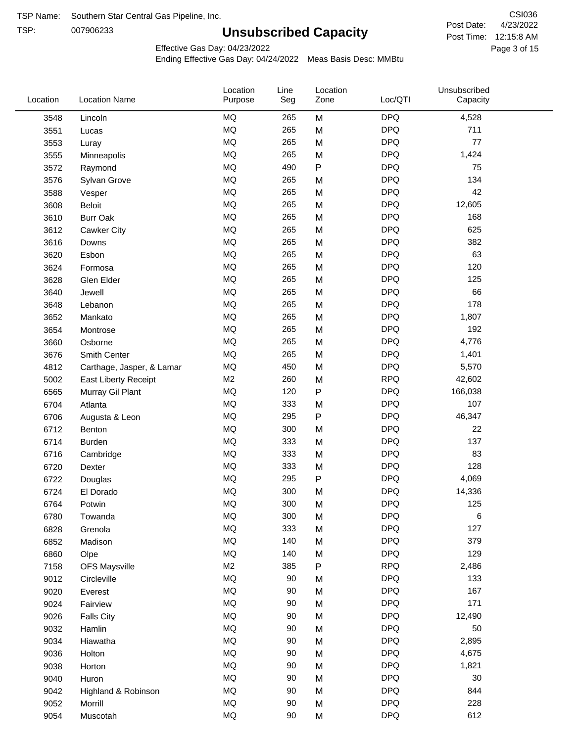TSP:

# **Unsubscribed Capacity**

4/23/2022 Page 3 of 15 Post Time: 12:15:8 AM CSI036 Post Date:

Effective Gas Day: 04/23/2022

| Location | <b>Location Name</b>      | Location<br>Purpose | Line<br>Seg | Location<br>Zone | Loc/QTI    | Unsubscribed<br>Capacity |  |
|----------|---------------------------|---------------------|-------------|------------------|------------|--------------------------|--|
| 3548     | Lincoln                   | MQ                  | 265         | M                | <b>DPQ</b> | 4,528                    |  |
| 3551     | Lucas                     | MQ                  | 265         | M                | <b>DPQ</b> | 711                      |  |
| 3553     | Luray                     | <b>MQ</b>           | 265         | M                | <b>DPQ</b> | 77                       |  |
| 3555     | Minneapolis               | <b>MQ</b>           | 265         | M                | <b>DPQ</b> | 1,424                    |  |
| 3572     | Raymond                   | <b>MQ</b>           | 490         | P                | <b>DPQ</b> | 75                       |  |
| 3576     | Sylvan Grove              | MQ                  | 265         | M                | <b>DPQ</b> | 134                      |  |
| 3588     | Vesper                    | <b>MQ</b>           | 265         | M                | <b>DPQ</b> | 42                       |  |
| 3608     | Beloit                    | <b>MQ</b>           | 265         | M                | <b>DPQ</b> | 12,605                   |  |
| 3610     | <b>Burr Oak</b>           | MQ                  | 265         | M                | <b>DPQ</b> | 168                      |  |
| 3612     | Cawker City               | MQ                  | 265         | M                | <b>DPQ</b> | 625                      |  |
| 3616     | Downs                     | MQ                  | 265         | M                | <b>DPQ</b> | 382                      |  |
| 3620     | Esbon                     | <b>MQ</b>           | 265         | M                | <b>DPQ</b> | 63                       |  |
| 3624     | Formosa                   | <b>MQ</b>           | 265         | M                | <b>DPQ</b> | 120                      |  |
| 3628     | Glen Elder                | <b>MQ</b>           | 265         | M                | <b>DPQ</b> | 125                      |  |
| 3640     | Jewell                    | <b>MQ</b>           | 265         | M                | <b>DPQ</b> | 66                       |  |
| 3648     | Lebanon                   | <b>MQ</b>           | 265         | M                | <b>DPQ</b> | 178                      |  |
| 3652     | Mankato                   | <b>MQ</b>           | 265         | M                | <b>DPQ</b> | 1,807                    |  |
| 3654     | Montrose                  | MQ                  | 265         | M                | <b>DPQ</b> | 192                      |  |
| 3660     | Osborne                   | <b>MQ</b>           | 265         | M                | <b>DPQ</b> | 4,776                    |  |
| 3676     | Smith Center              | MQ                  | 265         | M                | <b>DPQ</b> | 1,401                    |  |
| 4812     | Carthage, Jasper, & Lamar | <b>MQ</b>           | 450         | M                | <b>DPQ</b> | 5,570                    |  |
| 5002     | East Liberty Receipt      | M2                  | 260         | M                | <b>RPQ</b> | 42,602                   |  |
| 6565     | Murray Gil Plant          | <b>MQ</b>           | 120         | P                | <b>DPQ</b> | 166,038                  |  |
| 6704     | Atlanta                   | MQ                  | 333         | M                | <b>DPQ</b> | 107                      |  |
| 6706     | Augusta & Leon            | MQ                  | 295         | P                | <b>DPQ</b> | 46,347                   |  |
| 6712     | Benton                    | MQ                  | 300         | M                | <b>DPQ</b> | 22                       |  |
| 6714     | <b>Burden</b>             | <b>MQ</b>           | 333         | M                | <b>DPQ</b> | 137                      |  |
| 6716     | Cambridge                 | <b>MQ</b>           | 333         | M                | <b>DPQ</b> | 83                       |  |
| 6720     | Dexter                    | <b>MQ</b>           | 333         | M                | <b>DPQ</b> | 128                      |  |
| 6722     | Douglas                   | MQ                  | 295         | P                | <b>DPQ</b> | 4,069                    |  |
| 6724     | El Dorado                 | <b>MQ</b>           | 300         | M                | <b>DPQ</b> | 14,336                   |  |
| 6764     | Potwin                    | MQ                  | 300         | M                | <b>DPQ</b> | 125                      |  |
| 6780     | Towanda                   | MQ                  | 300         | M                | <b>DPQ</b> | 6                        |  |
| 6828     | Grenola                   | $\sf{MQ}$           | 333         | M                | <b>DPQ</b> | 127                      |  |
| 6852     | Madison                   | MQ                  | 140         | M                | <b>DPQ</b> | 379                      |  |
| 6860     | Olpe                      | MQ                  | 140         | M                | <b>DPQ</b> | 129                      |  |
| 7158     | <b>OFS Maysville</b>      | M2                  | 385         | P                | <b>RPQ</b> | 2,486                    |  |
| 9012     | Circleville               | MQ                  | 90          | M                | <b>DPQ</b> | 133                      |  |
| 9020     | Everest                   | $\sf{MQ}$           | 90          | M                | <b>DPQ</b> | 167                      |  |
| 9024     | Fairview                  | $\sf{MQ}$           | 90          | M                | <b>DPQ</b> | 171                      |  |
| 9026     | <b>Falls City</b>         | MQ                  | 90          | M                | <b>DPQ</b> | 12,490                   |  |
| 9032     | Hamlin                    | MQ                  | 90          | M                | <b>DPQ</b> | 50                       |  |
| 9034     | Hiawatha                  | MQ                  | $90\,$      | M                | <b>DPQ</b> | 2,895                    |  |
| 9036     | Holton                    | <b>MQ</b>           | $90\,$      | M                | <b>DPQ</b> | 4,675                    |  |
| 9038     | Horton                    | MQ                  | $90\,$      | M                | <b>DPQ</b> | 1,821                    |  |
| 9040     | Huron                     | MQ                  | 90          | M                | <b>DPQ</b> | 30                       |  |
| 9042     | Highland & Robinson       | MQ                  | 90          | M                | <b>DPQ</b> | 844                      |  |
| 9052     | Morrill                   | $\sf{MQ}$           | 90          | M                | <b>DPQ</b> | 228                      |  |
| 9054     | Muscotah                  | $\sf{MQ}$           | $90\,$      | M                | <b>DPQ</b> | 612                      |  |
|          |                           |                     |             |                  |            |                          |  |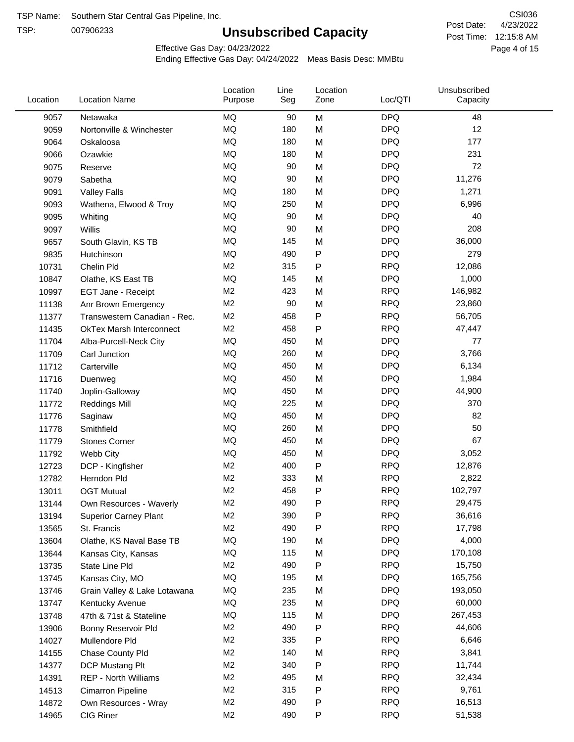TSP:

# **Unsubscribed Capacity**

4/23/2022 Page 4 of 15 Post Time: 12:15:8 AM CSI036 Post Date:

Effective Gas Day: 04/23/2022

| Location | <b>Location Name</b>            | Location<br>Purpose | Line<br>Seg | Location<br>Zone | Loc/QTI    | Unsubscribed<br>Capacity |  |
|----------|---------------------------------|---------------------|-------------|------------------|------------|--------------------------|--|
| 9057     | Netawaka                        | <b>MQ</b>           | 90          | M                | <b>DPQ</b> | 48                       |  |
| 9059     | Nortonville & Winchester        | MQ                  | 180         | M                | <b>DPQ</b> | 12                       |  |
| 9064     | Oskaloosa                       | MQ                  | 180         | M                | <b>DPQ</b> | 177                      |  |
| 9066     | Ozawkie                         | <b>MQ</b>           | 180         | M                | <b>DPQ</b> | 231                      |  |
| 9075     | Reserve                         | <b>MQ</b>           | 90          | M                | <b>DPQ</b> | 72                       |  |
| 9079     | Sabetha                         | MQ                  | 90          | M                | <b>DPQ</b> | 11,276                   |  |
| 9091     | <b>Valley Falls</b>             | MQ                  | 180         | M                | <b>DPQ</b> | 1,271                    |  |
| 9093     | Wathena, Elwood & Troy          | MQ                  | 250         | M                | <b>DPQ</b> | 6,996                    |  |
| 9095     | Whiting                         | MQ                  | 90          | M                | <b>DPQ</b> | 40                       |  |
| 9097     | Willis                          | <b>MQ</b>           | 90          | M                | <b>DPQ</b> | 208                      |  |
| 9657     | South Glavin, KS TB             | <b>MQ</b>           | 145         | M                | <b>DPQ</b> | 36,000                   |  |
| 9835     | Hutchinson                      | MQ                  | 490         | P                | <b>DPQ</b> | 279                      |  |
| 10731    | Chelin Pld                      | M <sub>2</sub>      | 315         | P                | <b>RPQ</b> | 12,086                   |  |
| 10847    | Olathe, KS East TB              | <b>MQ</b>           | 145         | M                | <b>DPQ</b> | 1,000                    |  |
| 10997    | EGT Jane - Receipt              | M <sub>2</sub>      | 423         | M                | <b>RPQ</b> | 146,982                  |  |
| 11138    | Anr Brown Emergency             | M <sub>2</sub>      | 90          | M                | <b>RPQ</b> | 23,860                   |  |
| 11377    | Transwestern Canadian - Rec.    | M <sub>2</sub>      | 458         | P                | <b>RPQ</b> | 56,705                   |  |
| 11435    | <b>OkTex Marsh Interconnect</b> | M <sub>2</sub>      | 458         | P                | <b>RPQ</b> | 47,447                   |  |
| 11704    | Alba-Purcell-Neck City          | MQ                  | 450         | M                | <b>DPQ</b> | 77                       |  |
| 11709    | Carl Junction                   | <b>MQ</b>           | 260         | M                | <b>DPQ</b> | 3,766                    |  |
| 11712    | Carterville                     | MQ                  | 450         | M                | <b>DPQ</b> | 6,134                    |  |
| 11716    | Duenweg                         | <b>MQ</b>           | 450         | M                | <b>DPQ</b> | 1,984                    |  |
| 11740    | Joplin-Galloway                 | MQ                  | 450         | M                | <b>DPQ</b> | 44,900                   |  |
| 11772    | <b>Reddings Mill</b>            | <b>MQ</b>           | 225         | M                | <b>DPQ</b> | 370                      |  |
| 11776    | Saginaw                         | MQ                  | 450         | M                | <b>DPQ</b> | 82                       |  |
| 11778    | Smithfield                      | <b>MQ</b>           | 260         | M                | <b>DPQ</b> | 50                       |  |
| 11779    | <b>Stones Corner</b>            | <b>MQ</b>           | 450         | M                | <b>DPQ</b> | 67                       |  |
| 11792    | Webb City                       | MQ                  | 450         | M                | <b>DPQ</b> | 3,052                    |  |
| 12723    | DCP - Kingfisher                | M <sub>2</sub>      | 400         | P                | <b>RPQ</b> | 12,876                   |  |
| 12782    | Herndon Pld                     | M <sub>2</sub>      | 333         | M                | <b>RPQ</b> | 2,822                    |  |
| 13011    | <b>OGT Mutual</b>               | M <sub>2</sub>      | 458         | P                | <b>RPQ</b> | 102,797                  |  |
| 13144    | Own Resources - Waverly         | M <sub>2</sub>      | 490         | P                | <b>RPQ</b> | 29,475                   |  |
| 13194    | <b>Superior Carney Plant</b>    | M <sub>2</sub>      | 390         | P                | <b>RPQ</b> | 36,616                   |  |
| 13565    | St. Francis                     | M <sub>2</sub>      | 490         | Ρ                | <b>RPQ</b> | 17,798                   |  |
| 13604    | Olathe, KS Naval Base TB        | MQ                  | 190         | M                | <b>DPQ</b> | 4,000                    |  |
| 13644    | Kansas City, Kansas             | MQ                  | 115         | M                | <b>DPQ</b> | 170,108                  |  |
| 13735    | State Line Pld                  | M <sub>2</sub>      | 490         | Ρ                | <b>RPQ</b> | 15,750                   |  |
| 13745    | Kansas City, MO                 | MQ                  | 195         | M                | <b>DPQ</b> | 165,756                  |  |
| 13746    | Grain Valley & Lake Lotawana    | MQ                  | 235         | M                | <b>DPQ</b> | 193,050                  |  |
| 13747    | Kentucky Avenue                 | MQ                  | 235         | M                | <b>DPQ</b> | 60,000                   |  |
| 13748    | 47th & 71st & Stateline         | MQ                  | 115         | M                | <b>DPQ</b> | 267,453                  |  |
| 13906    | Bonny Reservoir Pld             | M <sub>2</sub>      | 490         | Ρ                | <b>RPQ</b> | 44,606                   |  |
| 14027    | Mullendore Pld                  | M <sub>2</sub>      | 335         | Ρ                | <b>RPQ</b> | 6,646                    |  |
| 14155    | Chase County Pld                | M <sub>2</sub>      | 140         | M                | <b>RPQ</b> | 3,841                    |  |
| 14377    | DCP Mustang Plt                 | M <sub>2</sub>      | 340         | Ρ                | <b>RPQ</b> | 11,744                   |  |
| 14391    | <b>REP - North Williams</b>     | M <sub>2</sub>      | 495         | M                | <b>RPQ</b> | 32,434                   |  |
| 14513    | Cimarron Pipeline               | M <sub>2</sub>      | 315         | P                | <b>RPQ</b> | 9,761                    |  |
| 14872    | Own Resources - Wray            | M <sub>2</sub>      | 490         | P                | <b>RPQ</b> | 16,513                   |  |
| 14965    | CIG Riner                       | M <sub>2</sub>      | 490         | P                | <b>RPQ</b> | 51,538                   |  |
|          |                                 |                     |             |                  |            |                          |  |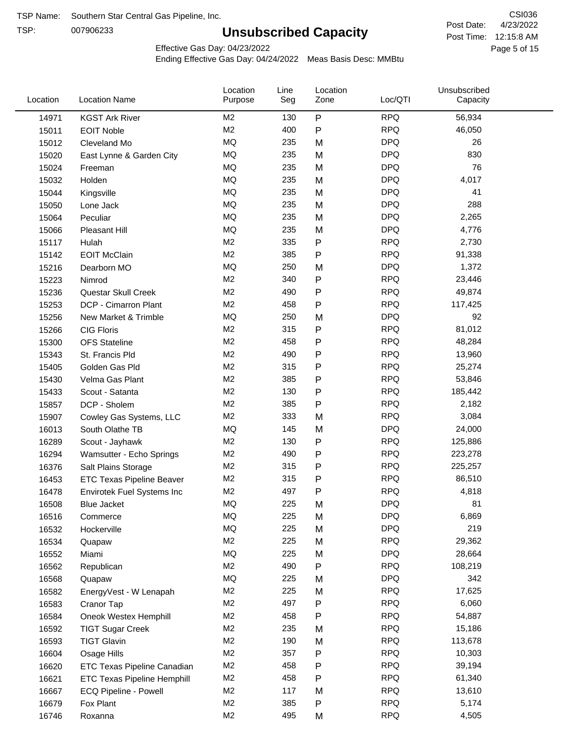TSP:

# **Unsubscribed Capacity**

4/23/2022 Page 5 of 15 Post Time: 12:15:8 AM CSI036 Post Date:

Effective Gas Day: 04/23/2022

| Location | <b>Location Name</b>               | Location<br>Purpose | Line<br>Seg | Location<br>Zone | Loc/QTI    | Unsubscribed<br>Capacity |  |
|----------|------------------------------------|---------------------|-------------|------------------|------------|--------------------------|--|
| 14971    | <b>KGST Ark River</b>              | M <sub>2</sub>      | 130         | P                | <b>RPQ</b> | 56,934                   |  |
| 15011    | <b>EOIT Noble</b>                  | M <sub>2</sub>      | 400         | P                | <b>RPQ</b> | 46,050                   |  |
| 15012    | Cleveland Mo                       | <b>MQ</b>           | 235         | M                | <b>DPQ</b> | 26                       |  |
| 15020    | East Lynne & Garden City           | <b>MQ</b>           | 235         | M                | <b>DPQ</b> | 830                      |  |
| 15024    | Freeman                            | <b>MQ</b>           | 235         | M                | <b>DPQ</b> | 76                       |  |
| 15032    | Holden                             | MQ                  | 235         | M                | <b>DPQ</b> | 4,017                    |  |
| 15044    | Kingsville                         | <b>MQ</b>           | 235         | M                | <b>DPQ</b> | 41                       |  |
| 15050    | Lone Jack                          | <b>MQ</b>           | 235         | M                | <b>DPQ</b> | 288                      |  |
| 15064    | Peculiar                           | <b>MQ</b>           | 235         | M                | <b>DPQ</b> | 2,265                    |  |
| 15066    | Pleasant Hill                      | <b>MQ</b>           | 235         | M                | <b>DPQ</b> | 4,776                    |  |
| 15117    | Hulah                              | M <sub>2</sub>      | 335         | P                | <b>RPQ</b> | 2,730                    |  |
| 15142    | <b>EOIT McClain</b>                | M <sub>2</sub>      | 385         | P                | <b>RPQ</b> | 91,338                   |  |
| 15216    | Dearborn MO                        | MQ                  | 250         | M                | <b>DPQ</b> | 1,372                    |  |
| 15223    | Nimrod                             | M <sub>2</sub>      | 340         | P                | <b>RPQ</b> | 23,446                   |  |
| 15236    | Questar Skull Creek                | M <sub>2</sub>      | 490         | P                | <b>RPQ</b> | 49,874                   |  |
| 15253    | DCP - Cimarron Plant               | M <sub>2</sub>      | 458         | P                | <b>RPQ</b> | 117,425                  |  |
| 15256    | New Market & Trimble               | <b>MQ</b>           | 250         | M                | <b>DPQ</b> | 92                       |  |
| 15266    | <b>CIG Floris</b>                  | M <sub>2</sub>      | 315         | Ρ                | <b>RPQ</b> | 81,012                   |  |
| 15300    | <b>OFS Stateline</b>               | M <sub>2</sub>      | 458         | P                | <b>RPQ</b> | 48,284                   |  |
| 15343    | St. Francis Pld                    | M <sub>2</sub>      | 490         | P                | <b>RPQ</b> | 13,960                   |  |
| 15405    | Golden Gas Pld                     | M <sub>2</sub>      | 315         | P                | <b>RPQ</b> | 25,274                   |  |
| 15430    | Velma Gas Plant                    | M <sub>2</sub>      | 385         | P                | <b>RPQ</b> | 53,846                   |  |
| 15433    | Scout - Satanta                    | M <sub>2</sub>      | 130         | P                | <b>RPQ</b> | 185,442                  |  |
| 15857    | DCP - Sholem                       | M <sub>2</sub>      | 385         | P                | <b>RPQ</b> | 2,182                    |  |
| 15907    | Cowley Gas Systems, LLC            | M <sub>2</sub>      | 333         | M                | <b>RPQ</b> | 3,084                    |  |
| 16013    | South Olathe TB                    | MQ                  | 145         | M                | <b>DPQ</b> | 24,000                   |  |
| 16289    | Scout - Jayhawk                    | M <sub>2</sub>      | 130         | P                | <b>RPQ</b> | 125,886                  |  |
| 16294    | Wamsutter - Echo Springs           | M <sub>2</sub>      | 490         | P                | <b>RPQ</b> | 223,278                  |  |
| 16376    | Salt Plains Storage                | M <sub>2</sub>      | 315         | P                | <b>RPQ</b> | 225,257                  |  |
| 16453    | ETC Texas Pipeline Beaver          | M <sub>2</sub>      | 315         | P                | <b>RPQ</b> | 86,510                   |  |
| 16478    | Envirotek Fuel Systems Inc         | M <sub>2</sub>      | 497         | Ρ                | <b>RPQ</b> | 4,818                    |  |
| 16508    | <b>Blue Jacket</b>                 | MQ                  | 225         | M                | <b>DPQ</b> | 81                       |  |
| 16516    | Commerce                           | MQ                  | 225         | M                | <b>DPQ</b> | 6,869                    |  |
| 16532    | Hockerville                        | MQ                  | 225         | M                | <b>DPQ</b> | 219                      |  |
| 16534    | Quapaw                             | M <sub>2</sub>      | 225         | M                | <b>RPQ</b> | 29,362                   |  |
| 16552    | Miami                              | MQ                  | 225         | M                | <b>DPQ</b> | 28,664                   |  |
| 16562    | Republican                         | M <sub>2</sub>      | 490         | P                | <b>RPQ</b> | 108,219                  |  |
| 16568    | Quapaw                             | <b>MQ</b>           | 225         | M                | <b>DPQ</b> | 342                      |  |
| 16582    | EnergyVest - W Lenapah             | M <sub>2</sub>      | 225         | M                | <b>RPQ</b> | 17,625                   |  |
| 16583    | Cranor Tap                         | M <sub>2</sub>      | 497         | Ρ                | <b>RPQ</b> | 6,060                    |  |
| 16584    | Oneok Westex Hemphill              | M <sub>2</sub>      | 458         | Ρ                | <b>RPQ</b> | 54,887                   |  |
| 16592    | <b>TIGT Sugar Creek</b>            | M <sub>2</sub>      | 235         | M                | <b>RPQ</b> | 15,186                   |  |
| 16593    | <b>TIGT Glavin</b>                 | M <sub>2</sub>      | 190         | M                | <b>RPQ</b> | 113,678                  |  |
| 16604    | Osage Hills                        | M <sub>2</sub>      | 357         | Ρ                | <b>RPQ</b> | 10,303                   |  |
| 16620    | ETC Texas Pipeline Canadian        | M <sub>2</sub>      | 458         | Ρ                | <b>RPQ</b> | 39,194                   |  |
| 16621    | <b>ETC Texas Pipeline Hemphill</b> | M <sub>2</sub>      | 458         | Ρ                | <b>RPQ</b> | 61,340                   |  |
| 16667    | ECQ Pipeline - Powell              | M <sub>2</sub>      | 117         | M                | <b>RPQ</b> | 13,610                   |  |
| 16679    | Fox Plant                          | M <sub>2</sub>      | 385         | Ρ                | <b>RPQ</b> | 5,174                    |  |
| 16746    | Roxanna                            | M <sub>2</sub>      | 495         | M                | <b>RPQ</b> | 4,505                    |  |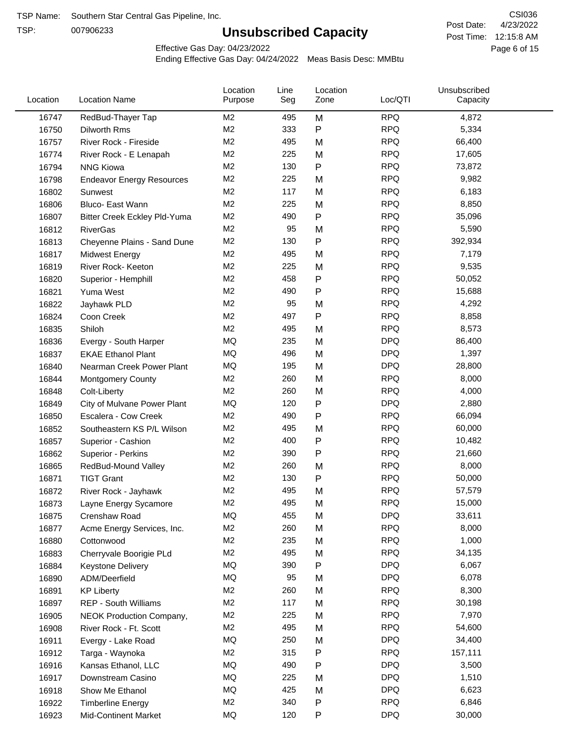TSP:

# **Unsubscribed Capacity**

4/23/2022 Page 6 of 15 Post Time: 12:15:8 AM CSI036 Post Date:

Effective Gas Day: 04/23/2022

| <b>RPQ</b><br>RedBud-Thayer Tap<br>M <sub>2</sub><br>M<br>4,872<br>16747<br>495<br>M <sub>2</sub><br>333<br>$\mathsf{P}$<br><b>RPQ</b><br>5,334<br>16750<br>Dilworth Rms<br>M <sub>2</sub><br><b>RPQ</b><br>66,400<br>495<br>M<br>16757<br>River Rock - Fireside<br>M <sub>2</sub><br>225<br><b>RPQ</b><br>16774<br>17,605<br>M<br>River Rock - E Lenapah<br>M <sub>2</sub><br><b>RPQ</b><br>130<br>$\mathsf{P}$<br><b>NNG Kiowa</b><br>73,872<br>16794<br>M <sub>2</sub><br><b>RPQ</b><br>225<br>9,982<br>16798<br>M<br><b>Endeavor Energy Resources</b><br>M <sub>2</sub><br><b>RPQ</b><br>117<br>6,183<br>16802<br>M<br>Sunwest<br>M <sub>2</sub><br><b>RPQ</b><br>225<br>8,850<br>M<br>16806<br>Bluco- East Wann |  |
|----------------------------------------------------------------------------------------------------------------------------------------------------------------------------------------------------------------------------------------------------------------------------------------------------------------------------------------------------------------------------------------------------------------------------------------------------------------------------------------------------------------------------------------------------------------------------------------------------------------------------------------------------------------------------------------------------------------------|--|
|                                                                                                                                                                                                                                                                                                                                                                                                                                                                                                                                                                                                                                                                                                                      |  |
|                                                                                                                                                                                                                                                                                                                                                                                                                                                                                                                                                                                                                                                                                                                      |  |
|                                                                                                                                                                                                                                                                                                                                                                                                                                                                                                                                                                                                                                                                                                                      |  |
|                                                                                                                                                                                                                                                                                                                                                                                                                                                                                                                                                                                                                                                                                                                      |  |
|                                                                                                                                                                                                                                                                                                                                                                                                                                                                                                                                                                                                                                                                                                                      |  |
|                                                                                                                                                                                                                                                                                                                                                                                                                                                                                                                                                                                                                                                                                                                      |  |
|                                                                                                                                                                                                                                                                                                                                                                                                                                                                                                                                                                                                                                                                                                                      |  |
|                                                                                                                                                                                                                                                                                                                                                                                                                                                                                                                                                                                                                                                                                                                      |  |
| M <sub>2</sub><br>490<br>$\mathsf{P}$<br><b>RPQ</b><br>35,096<br>16807<br>Bitter Creek Eckley Pld-Yuma                                                                                                                                                                                                                                                                                                                                                                                                                                                                                                                                                                                                               |  |
| M <sub>2</sub><br><b>RPQ</b><br>95<br>5,590<br>16812<br>M<br><b>RiverGas</b>                                                                                                                                                                                                                                                                                                                                                                                                                                                                                                                                                                                                                                         |  |
| M <sub>2</sub><br>$\mathsf{P}$<br><b>RPQ</b><br>392,934<br>130<br>16813<br>Cheyenne Plains - Sand Dune                                                                                                                                                                                                                                                                                                                                                                                                                                                                                                                                                                                                               |  |
| M <sub>2</sub><br><b>RPQ</b><br>495<br>M<br>7,179<br>16817<br><b>Midwest Energy</b>                                                                                                                                                                                                                                                                                                                                                                                                                                                                                                                                                                                                                                  |  |
| M <sub>2</sub><br><b>RPQ</b><br>225<br>9,535<br>16819<br>River Rock- Keeton<br>M                                                                                                                                                                                                                                                                                                                                                                                                                                                                                                                                                                                                                                     |  |
| M <sub>2</sub><br><b>RPQ</b><br>458<br>$\mathsf{P}$<br>50,052<br>16820<br>Superior - Hemphill                                                                                                                                                                                                                                                                                                                                                                                                                                                                                                                                                                                                                        |  |
| M <sub>2</sub><br><b>RPQ</b><br>490<br>$\mathsf{P}$<br>Yuma West<br>15,688<br>16821                                                                                                                                                                                                                                                                                                                                                                                                                                                                                                                                                                                                                                  |  |
| M <sub>2</sub><br>95<br>M<br><b>RPQ</b><br>4,292<br>16822<br>Jayhawk PLD                                                                                                                                                                                                                                                                                                                                                                                                                                                                                                                                                                                                                                             |  |
| M <sub>2</sub><br>497<br>$\mathsf{P}$<br><b>RPQ</b><br>8,858<br>16824<br>Coon Creek                                                                                                                                                                                                                                                                                                                                                                                                                                                                                                                                                                                                                                  |  |
| M <sub>2</sub><br>495<br><b>RPQ</b><br>8,573<br>M<br>16835<br>Shiloh                                                                                                                                                                                                                                                                                                                                                                                                                                                                                                                                                                                                                                                 |  |
| <b>MQ</b><br><b>DPQ</b><br>235<br>M<br>86,400<br>16836<br>Evergy - South Harper                                                                                                                                                                                                                                                                                                                                                                                                                                                                                                                                                                                                                                      |  |
| MQ<br>M<br><b>DPQ</b><br>496<br>1,397<br>16837<br><b>EKAE Ethanol Plant</b>                                                                                                                                                                                                                                                                                                                                                                                                                                                                                                                                                                                                                                          |  |
| MQ<br>195<br><b>DPQ</b><br>M<br>28,800<br>16840<br>Nearman Creek Power Plant                                                                                                                                                                                                                                                                                                                                                                                                                                                                                                                                                                                                                                         |  |
| <b>RPQ</b><br>M <sub>2</sub><br>260<br>M<br>8,000<br>16844<br><b>Montgomery County</b>                                                                                                                                                                                                                                                                                                                                                                                                                                                                                                                                                                                                                               |  |
| M <sub>2</sub><br>260<br><b>RPQ</b><br>M<br>4,000<br>16848<br>Colt-Liberty                                                                                                                                                                                                                                                                                                                                                                                                                                                                                                                                                                                                                                           |  |
| <b>DPQ</b><br>MQ<br>120<br>${\sf P}$<br>2,880<br>16849<br>City of Mulvane Power Plant                                                                                                                                                                                                                                                                                                                                                                                                                                                                                                                                                                                                                                |  |
| M <sub>2</sub><br>$\mathsf{P}$<br><b>RPQ</b><br>66,094<br>490<br>16850<br>Escalera - Cow Creek                                                                                                                                                                                                                                                                                                                                                                                                                                                                                                                                                                                                                       |  |
| M <sub>2</sub><br><b>RPQ</b><br>495<br>60,000<br>16852<br>Southeastern KS P/L Wilson<br>M                                                                                                                                                                                                                                                                                                                                                                                                                                                                                                                                                                                                                            |  |
| M <sub>2</sub><br>$\mathsf{P}$<br><b>RPQ</b><br>400<br>10,482<br>16857<br>Superior - Cashion                                                                                                                                                                                                                                                                                                                                                                                                                                                                                                                                                                                                                         |  |
| <b>RPQ</b><br>M <sub>2</sub><br>390<br>$\mathsf{P}$<br>21,660<br>16862<br>Superior - Perkins                                                                                                                                                                                                                                                                                                                                                                                                                                                                                                                                                                                                                         |  |
| M <sub>2</sub><br><b>RPQ</b><br>260<br>8,000<br>M<br>16865<br>RedBud-Mound Valley                                                                                                                                                                                                                                                                                                                                                                                                                                                                                                                                                                                                                                    |  |
| M <sub>2</sub><br>130<br><b>RPQ</b><br>$\mathsf{P}$<br>50,000<br>16871<br><b>TIGT Grant</b>                                                                                                                                                                                                                                                                                                                                                                                                                                                                                                                                                                                                                          |  |
| M <sub>2</sub><br><b>RPQ</b><br>495<br>M<br>57,579<br>16872<br>River Rock - Jayhawk                                                                                                                                                                                                                                                                                                                                                                                                                                                                                                                                                                                                                                  |  |
| <b>RPQ</b><br>M <sub>2</sub><br>495<br>15,000<br>16873<br>Layne Energy Sycamore<br>M                                                                                                                                                                                                                                                                                                                                                                                                                                                                                                                                                                                                                                 |  |
| MQ<br><b>DPQ</b><br>455<br>33,611<br>Crenshaw Road<br>M<br>16875                                                                                                                                                                                                                                                                                                                                                                                                                                                                                                                                                                                                                                                     |  |
| M <sub>2</sub><br><b>RPQ</b><br>8,000<br>260<br>16877<br>Acme Energy Services, Inc.<br>M                                                                                                                                                                                                                                                                                                                                                                                                                                                                                                                                                                                                                             |  |
| M <sub>2</sub><br><b>RPQ</b><br>1,000<br>235<br>M<br>16880<br>Cottonwood                                                                                                                                                                                                                                                                                                                                                                                                                                                                                                                                                                                                                                             |  |
| M <sub>2</sub><br>495<br><b>RPQ</b><br>34,135<br>16883<br>Cherryvale Boorigie PLd<br>M                                                                                                                                                                                                                                                                                                                                                                                                                                                                                                                                                                                                                               |  |
| MQ<br>390<br><b>DPQ</b><br>P<br>6,067<br>16884<br>Keystone Delivery                                                                                                                                                                                                                                                                                                                                                                                                                                                                                                                                                                                                                                                  |  |
| MQ<br><b>DPQ</b><br>95<br>6,078<br>M<br>16890<br>ADM/Deerfield                                                                                                                                                                                                                                                                                                                                                                                                                                                                                                                                                                                                                                                       |  |
| M <sub>2</sub><br><b>RPQ</b><br>8,300<br>260<br>16891<br>M<br><b>KP Liberty</b>                                                                                                                                                                                                                                                                                                                                                                                                                                                                                                                                                                                                                                      |  |
| M <sub>2</sub><br>117<br><b>RPQ</b><br>30,198<br>16897<br><b>REP - South Williams</b><br>M                                                                                                                                                                                                                                                                                                                                                                                                                                                                                                                                                                                                                           |  |
| M <sub>2</sub><br><b>RPQ</b><br>7,970<br>225<br>16905<br>NEOK Production Company,<br>M                                                                                                                                                                                                                                                                                                                                                                                                                                                                                                                                                                                                                               |  |
| M <sub>2</sub><br>495<br><b>RPQ</b><br>54,600<br>16908<br>River Rock - Ft. Scott<br>M                                                                                                                                                                                                                                                                                                                                                                                                                                                                                                                                                                                                                                |  |
| MQ<br>250<br><b>DPQ</b><br>34,400<br>16911<br>M<br>Evergy - Lake Road                                                                                                                                                                                                                                                                                                                                                                                                                                                                                                                                                                                                                                                |  |
| M <sub>2</sub><br>315<br><b>RPQ</b><br>157,111<br>P<br>16912<br>Targa - Waynoka                                                                                                                                                                                                                                                                                                                                                                                                                                                                                                                                                                                                                                      |  |
| MQ<br>490<br><b>DPQ</b><br>Ρ<br>3,500<br>16916<br>Kansas Ethanol, LLC                                                                                                                                                                                                                                                                                                                                                                                                                                                                                                                                                                                                                                                |  |
| MQ<br><b>DPQ</b><br>225<br>1,510<br>16917<br>Downstream Casino<br>M                                                                                                                                                                                                                                                                                                                                                                                                                                                                                                                                                                                                                                                  |  |
| MQ<br>425<br><b>DPQ</b><br>6,623<br>16918<br>Show Me Ethanol<br>M                                                                                                                                                                                                                                                                                                                                                                                                                                                                                                                                                                                                                                                    |  |
| M <sub>2</sub><br>340<br>P<br><b>RPQ</b><br>6,846<br>16922<br><b>Timberline Energy</b>                                                                                                                                                                                                                                                                                                                                                                                                                                                                                                                                                                                                                               |  |
| MQ<br><b>DPQ</b><br>120<br>P<br>30,000<br>16923<br><b>Mid-Continent Market</b>                                                                                                                                                                                                                                                                                                                                                                                                                                                                                                                                                                                                                                       |  |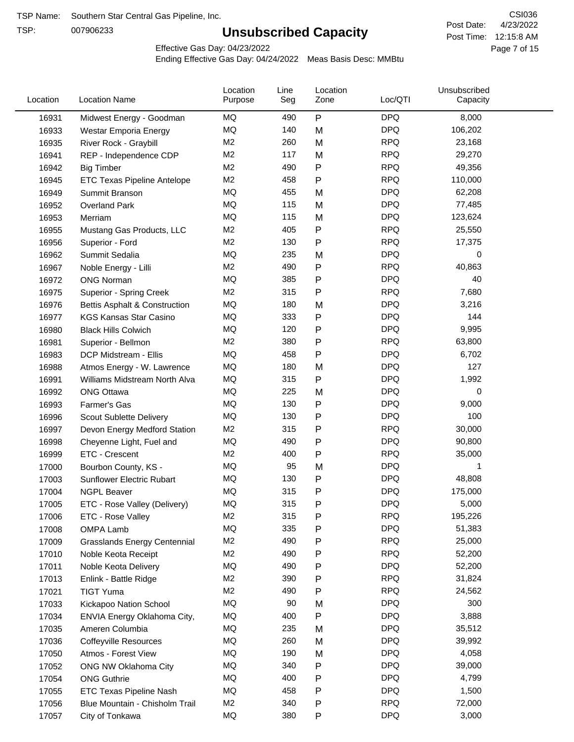TSP:

# **Unsubscribed Capacity**

4/23/2022 Page 7 of 15 Post Time: 12:15:8 AM CSI036 Post Date:

Effective Gas Day: 04/23/2022

| Location | <b>Location Name</b>                | Location<br>Purpose | Line<br>Seg | Location<br>Zone | Loc/QTI    | Unsubscribed<br>Capacity |  |
|----------|-------------------------------------|---------------------|-------------|------------------|------------|--------------------------|--|
| 16931    | Midwest Energy - Goodman            | MQ                  | 490         | ${\sf P}$        | <b>DPQ</b> | 8,000                    |  |
| 16933    | Westar Emporia Energy               | MQ                  | 140         | M                | <b>DPQ</b> | 106,202                  |  |
| 16935    | River Rock - Graybill               | M <sub>2</sub>      | 260         | M                | <b>RPQ</b> | 23,168                   |  |
| 16941    | REP - Independence CDP              | M <sub>2</sub>      | 117         | M                | <b>RPQ</b> | 29,270                   |  |
| 16942    | <b>Big Timber</b>                   | M <sub>2</sub>      | 490         | Ρ                | <b>RPQ</b> | 49,356                   |  |
| 16945    | ETC Texas Pipeline Antelope         | M <sub>2</sub>      | 458         | Ρ                | <b>RPQ</b> | 110,000                  |  |
| 16949    | Summit Branson                      | MQ                  | 455         | M                | <b>DPQ</b> | 62,208                   |  |
| 16952    | <b>Overland Park</b>                | MQ                  | 115         | M                | <b>DPQ</b> | 77,485                   |  |
| 16953    | Merriam                             | MQ                  | 115         | M                | <b>DPQ</b> | 123,624                  |  |
| 16955    | Mustang Gas Products, LLC           | M <sub>2</sub>      | 405         | P                | <b>RPQ</b> | 25,550                   |  |
| 16956    | Superior - Ford                     | M <sub>2</sub>      | 130         | Ρ                | <b>RPQ</b> | 17,375                   |  |
| 16962    | Summit Sedalia                      | MQ                  | 235         | M                | <b>DPQ</b> | 0                        |  |
| 16967    | Noble Energy - Lilli                | M <sub>2</sub>      | 490         | Ρ                | <b>RPQ</b> | 40,863                   |  |
| 16972    | <b>ONG Norman</b>                   | MQ                  | 385         | Ρ                | <b>DPQ</b> | 40                       |  |
| 16975    | <b>Superior - Spring Creek</b>      | M <sub>2</sub>      | 315         | Ρ                | <b>RPQ</b> | 7,680                    |  |
| 16976    | Bettis Asphalt & Construction       | MQ                  | 180         | M                | <b>DPQ</b> | 3,216                    |  |
| 16977    | <b>KGS Kansas Star Casino</b>       | MQ                  | 333         | P                | <b>DPQ</b> | 144                      |  |
| 16980    | <b>Black Hills Colwich</b>          | MQ                  | 120         | P                | <b>DPQ</b> | 9,995                    |  |
| 16981    | Superior - Bellmon                  | M <sub>2</sub>      | 380         | P                | <b>RPQ</b> | 63,800                   |  |
| 16983    | DCP Midstream - Ellis               | MQ                  | 458         | Ρ                | <b>DPQ</b> | 6,702                    |  |
| 16988    | Atmos Energy - W. Lawrence          | MQ                  | 180         | M                | <b>DPQ</b> | 127                      |  |
| 16991    | Williams Midstream North Alva       | MQ                  | 315         | P                | <b>DPQ</b> | 1,992                    |  |
| 16992    | <b>ONG Ottawa</b>                   | MQ                  | 225         | M                | <b>DPQ</b> | 0                        |  |
| 16993    | Farmer's Gas                        | MQ                  | 130         | Ρ                | <b>DPQ</b> | 9,000                    |  |
| 16996    | Scout Sublette Delivery             | MQ                  | 130         | Ρ                | <b>DPQ</b> | 100                      |  |
| 16997    | Devon Energy Medford Station        | M <sub>2</sub>      | 315         | Ρ                | <b>RPQ</b> | 30,000                   |  |
| 16998    | Cheyenne Light, Fuel and            | MQ                  | 490         | P                | <b>DPQ</b> | 90,800                   |  |
| 16999    | ETC - Crescent                      | M <sub>2</sub>      | 400         | Ρ                | <b>RPQ</b> | 35,000                   |  |
| 17000    | Bourbon County, KS -                | MQ                  | 95          | M                | <b>DPQ</b> | 1                        |  |
| 17003    | Sunflower Electric Rubart           | MQ                  | 130         | Ρ                | <b>DPQ</b> | 48,808                   |  |
| 17004    | <b>NGPL Beaver</b>                  | MQ                  | 315         | P                | <b>DPQ</b> | 175,000                  |  |
| 17005    | ETC - Rose Valley (Delivery)        | <b>MQ</b>           | 315         | P                | <b>DPQ</b> | 5,000                    |  |
| 17006    | ETC - Rose Valley                   | M <sub>2</sub>      | 315         | Ρ                | <b>RPQ</b> | 195,226                  |  |
| 17008    | <b>OMPA Lamb</b>                    | MQ                  | 335         | Ρ                | <b>DPQ</b> | 51,383                   |  |
| 17009    | <b>Grasslands Energy Centennial</b> | M <sub>2</sub>      | 490         | Ρ                | <b>RPQ</b> | 25,000                   |  |
| 17010    | Noble Keota Receipt                 | M <sub>2</sub>      | 490         | Ρ                | <b>RPQ</b> | 52,200                   |  |
| 17011    | Noble Keota Delivery                | MQ                  | 490         | Ρ                | <b>DPQ</b> | 52,200                   |  |
| 17013    | Enlink - Battle Ridge               | M <sub>2</sub>      | 390         | P                | <b>RPQ</b> | 31,824                   |  |
| 17021    | <b>TIGT Yuma</b>                    | M <sub>2</sub>      | 490         | P                | <b>RPQ</b> | 24,562                   |  |
| 17033    | Kickapoo Nation School              | MQ                  | 90          | M                | <b>DPQ</b> | 300                      |  |
| 17034    | ENVIA Energy Oklahoma City,         | MQ                  | 400         | Ρ                | <b>DPQ</b> | 3,888                    |  |
| 17035    | Ameren Columbia                     | MQ                  | 235         | M                | <b>DPQ</b> | 35,512                   |  |
| 17036    | <b>Coffeyville Resources</b>        | MQ                  | 260         | M                | <b>DPQ</b> | 39,992                   |  |
| 17050    | Atmos - Forest View                 | MQ                  | 190         | M                | <b>DPQ</b> | 4,058                    |  |
| 17052    | ONG NW Oklahoma City                | MQ                  | 340         | P                | <b>DPQ</b> | 39,000                   |  |
| 17054    | <b>ONG Guthrie</b>                  | MQ                  | 400         | Ρ                | <b>DPQ</b> | 4,799                    |  |
| 17055    | ETC Texas Pipeline Nash             | MQ                  | 458         | Ρ                | <b>DPQ</b> | 1,500                    |  |
| 17056    | Blue Mountain - Chisholm Trail      | M <sub>2</sub>      | 340         | Ρ                | <b>RPQ</b> | 72,000                   |  |
| 17057    | City of Tonkawa                     | MQ                  | 380         | P                | <b>DPQ</b> | 3,000                    |  |
|          |                                     |                     |             |                  |            |                          |  |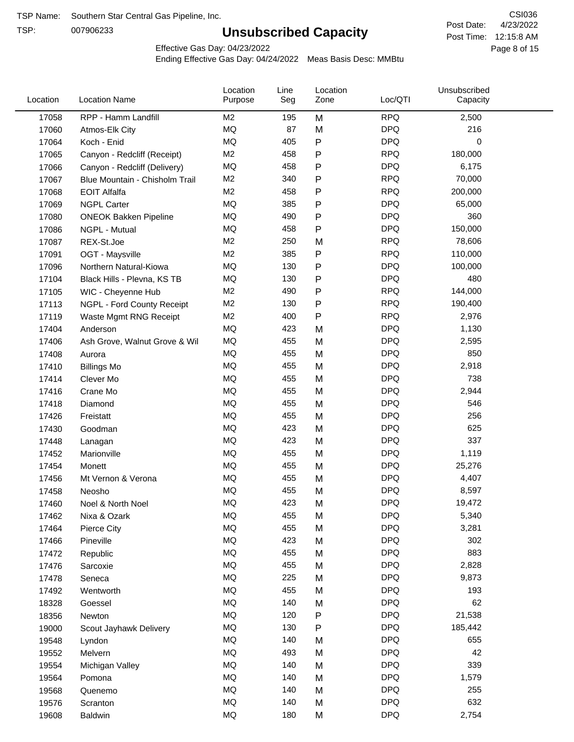TSP:

# **Unsubscribed Capacity**

4/23/2022 Page 8 of 15 Post Time: 12:15:8 AM CSI036 Post Date:

Effective Gas Day: 04/23/2022

| Location | <b>Location Name</b>           | Location<br>Purpose | Line<br>Seg | Location<br>Zone | Loc/QTI    | Unsubscribed<br>Capacity |  |
|----------|--------------------------------|---------------------|-------------|------------------|------------|--------------------------|--|
| 17058    | RPP - Hamm Landfill            | M <sub>2</sub>      | 195         | M                | <b>RPQ</b> | 2,500                    |  |
| 17060    | Atmos-Elk City                 | MQ                  | 87          | M                | <b>DPQ</b> | 216                      |  |
| 17064    | Koch - Enid                    | MQ                  | 405         | P                | <b>DPQ</b> | 0                        |  |
| 17065    | Canyon - Redcliff (Receipt)    | M <sub>2</sub>      | 458         | Ρ                | <b>RPQ</b> | 180,000                  |  |
| 17066    | Canyon - Redcliff (Delivery)   | MQ                  | 458         | Ρ                | <b>DPQ</b> | 6,175                    |  |
| 17067    | Blue Mountain - Chisholm Trail | M <sub>2</sub>      | 340         | Ρ                | <b>RPQ</b> | 70,000                   |  |
| 17068    | <b>EOIT Alfalfa</b>            | M <sub>2</sub>      | 458         | Ρ                | <b>RPQ</b> | 200,000                  |  |
| 17069    | <b>NGPL Carter</b>             | <b>MQ</b>           | 385         | Ρ                | <b>DPQ</b> | 65,000                   |  |
| 17080    | <b>ONEOK Bakken Pipeline</b>   | MQ                  | 490         | Ρ                | <b>DPQ</b> | 360                      |  |
| 17086    | NGPL - Mutual                  | MQ                  | 458         | P                | <b>DPQ</b> | 150,000                  |  |
| 17087    | REX-St.Joe                     | M <sub>2</sub>      | 250         | M                | <b>RPQ</b> | 78,606                   |  |
| 17091    | OGT - Maysville                | M <sub>2</sub>      | 385         | P                | <b>RPQ</b> | 110,000                  |  |
| 17096    | Northern Natural-Kiowa         | <b>MQ</b>           | 130         | Ρ                | <b>DPQ</b> | 100,000                  |  |
| 17104    | Black Hills - Plevna, KS TB    | MQ                  | 130         | Ρ                | <b>DPQ</b> | 480                      |  |
| 17105    | WIC - Cheyenne Hub             | M <sub>2</sub>      | 490         | P                | <b>RPQ</b> | 144,000                  |  |
| 17113    | NGPL - Ford County Receipt     | M <sub>2</sub>      | 130         | Ρ                | <b>RPQ</b> | 190,400                  |  |
| 17119    | Waste Mgmt RNG Receipt         | M <sub>2</sub>      | 400         | $\mathsf{P}$     | <b>RPQ</b> | 2,976                    |  |
| 17404    | Anderson                       | MQ                  | 423         | M                | <b>DPQ</b> | 1,130                    |  |
| 17406    | Ash Grove, Walnut Grove & Wil  | MQ                  | 455         | M                | <b>DPQ</b> | 2,595                    |  |
| 17408    | Aurora                         | MQ                  | 455         | M                | <b>DPQ</b> | 850                      |  |
| 17410    | <b>Billings Mo</b>             | MQ                  | 455         | M                | <b>DPQ</b> | 2,918                    |  |
| 17414    | Clever Mo                      | <b>MQ</b>           | 455         | M                | <b>DPQ</b> | 738                      |  |
| 17416    | Crane Mo                       | <b>MQ</b>           | 455         | M                | <b>DPQ</b> | 2,944                    |  |
| 17418    | Diamond                        | <b>MQ</b>           | 455         | M                | <b>DPQ</b> | 546                      |  |
| 17426    | Freistatt                      | <b>MQ</b>           | 455         | M                | <b>DPQ</b> | 256                      |  |
| 17430    | Goodman                        | MQ                  | 423         | M                | <b>DPQ</b> | 625                      |  |
| 17448    | Lanagan                        | <b>MQ</b>           | 423         | M                | <b>DPQ</b> | 337                      |  |
| 17452    | Marionville                    | <b>MQ</b>           | 455         | M                | <b>DPQ</b> | 1,119                    |  |
| 17454    | Monett                         | MQ                  | 455         | M                | <b>DPQ</b> | 25,276                   |  |
| 17456    | Mt Vernon & Verona             | MQ                  | 455         | M                | <b>DPQ</b> | 4,407                    |  |
| 17458    | Neosho                         | <b>MQ</b>           | 455         | M                | <b>DPQ</b> | 8,597                    |  |
| 17460    | Noel & North Noel              | MQ                  | 423         | M                | <b>DPQ</b> | 19,472                   |  |
| 17462    | Nixa & Ozark                   | MQ                  | 455         | M                | <b>DPQ</b> | 5,340                    |  |
| 17464    | Pierce City                    | MQ                  | 455         | M                | <b>DPQ</b> | 3,281                    |  |
| 17466    | Pineville                      | MQ                  | 423         | M                | <b>DPQ</b> | 302                      |  |
| 17472    | Republic                       | MQ                  | 455         | M                | <b>DPQ</b> | 883                      |  |
| 17476    | Sarcoxie                       | MQ                  | 455         | M                | <b>DPQ</b> | 2,828                    |  |
| 17478    | Seneca                         | MQ                  | 225         | M                | <b>DPQ</b> | 9,873                    |  |
| 17492    | Wentworth                      | MQ                  | 455         | M                | <b>DPQ</b> | 193                      |  |
| 18328    | Goessel                        | MQ                  | 140         | M                | <b>DPQ</b> | 62                       |  |
| 18356    | Newton                         | MQ                  | 120         | Ρ                | <b>DPQ</b> | 21,538                   |  |
| 19000    | Scout Jayhawk Delivery         | MQ                  | 130         | Ρ                | <b>DPQ</b> | 185,442                  |  |
| 19548    | Lyndon                         | MQ                  | 140         | M                | <b>DPQ</b> | 655                      |  |
| 19552    | Melvern                        | MQ                  | 493         | M                | <b>DPQ</b> | 42                       |  |
| 19554    | Michigan Valley                | MQ                  | 140         | M                | <b>DPQ</b> | 339                      |  |
| 19564    | Pomona                         | MQ                  | 140         | M                | <b>DPQ</b> | 1,579                    |  |
| 19568    | Quenemo                        | MQ                  | 140         | M                | <b>DPQ</b> | 255                      |  |
| 19576    | Scranton                       | MQ                  | 140         | M                | <b>DPQ</b> | 632                      |  |
| 19608    | Baldwin                        | MQ                  | 180         | M                | <b>DPQ</b> | 2,754                    |  |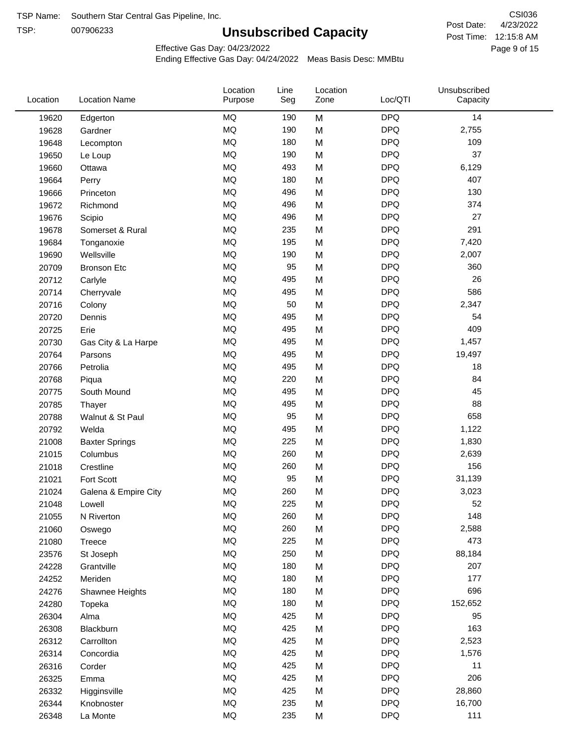TSP:

# **Unsubscribed Capacity**

4/23/2022 Page 9 of 15 Post Time: 12:15:8 AM CSI036 Post Date:

Effective Gas Day: 04/23/2022

| Location | <b>Location Name</b>  | Location<br>Purpose | Line<br>Seg | Location<br>Zone | Loc/QTI    | Unsubscribed<br>Capacity |  |
|----------|-----------------------|---------------------|-------------|------------------|------------|--------------------------|--|
| 19620    | Edgerton              | <b>MQ</b>           | 190         | M                | <b>DPQ</b> | 14                       |  |
| 19628    | Gardner               | MQ                  | 190         | M                | <b>DPQ</b> | 2,755                    |  |
| 19648    | Lecompton             | <b>MQ</b>           | 180         | M                | <b>DPQ</b> | 109                      |  |
| 19650    | Le Loup               | <b>MQ</b>           | 190         | M                | <b>DPQ</b> | 37                       |  |
| 19660    | Ottawa                | <b>MQ</b>           | 493         | M                | <b>DPQ</b> | 6,129                    |  |
| 19664    | Perry                 | <b>MQ</b>           | 180         | M                | <b>DPQ</b> | 407                      |  |
| 19666    | Princeton             | MQ                  | 496         | M                | <b>DPQ</b> | 130                      |  |
| 19672    | Richmond              | MQ                  | 496         | M                | <b>DPQ</b> | 374                      |  |
| 19676    | Scipio                | <b>MQ</b>           | 496         | M                | <b>DPQ</b> | 27                       |  |
| 19678    | Somerset & Rural      | MQ                  | 235         | M                | <b>DPQ</b> | 291                      |  |
| 19684    | Tonganoxie            | MQ                  | 195         | M                | <b>DPQ</b> | 7,420                    |  |
| 19690    | Wellsville            | MQ                  | 190         | M                | <b>DPQ</b> | 2,007                    |  |
| 20709    | <b>Bronson Etc</b>    | <b>MQ</b>           | 95          | M                | <b>DPQ</b> | 360                      |  |
| 20712    | Carlyle               | <b>MQ</b>           | 495         | M                | <b>DPQ</b> | 26                       |  |
| 20714    | Cherryvale            | <b>MQ</b>           | 495         | M                | <b>DPQ</b> | 586                      |  |
| 20716    | Colony                | MQ                  | 50          | M                | <b>DPQ</b> | 2,347                    |  |
| 20720    | Dennis                | <b>MQ</b>           | 495         | M                | <b>DPQ</b> | 54                       |  |
| 20725    | Erie                  | <b>MQ</b>           | 495         | M                | <b>DPQ</b> | 409                      |  |
| 20730    | Gas City & La Harpe   | <b>MQ</b>           | 495         | M                | <b>DPQ</b> | 1,457                    |  |
| 20764    | Parsons               | <b>MQ</b>           | 495         | M                | <b>DPQ</b> | 19,497                   |  |
| 20766    | Petrolia              | <b>MQ</b>           | 495         | M                | <b>DPQ</b> | 18                       |  |
| 20768    | Piqua                 | <b>MQ</b>           | 220         | M                | <b>DPQ</b> | 84                       |  |
| 20775    | South Mound           | <b>MQ</b>           | 495         | M                | <b>DPQ</b> | 45                       |  |
| 20785    | Thayer                | <b>MQ</b>           | 495         | M                | <b>DPQ</b> | 88                       |  |
| 20788    | Walnut & St Paul      | MQ                  | 95          | M                | <b>DPQ</b> | 658                      |  |
| 20792    | Welda                 | MQ                  | 495         | M                | <b>DPQ</b> | 1,122                    |  |
| 21008    | <b>Baxter Springs</b> | MQ                  | 225         | M                | <b>DPQ</b> | 1,830                    |  |
| 21015    | Columbus              | <b>MQ</b>           | 260         | M                | <b>DPQ</b> | 2,639                    |  |
| 21018    | Crestline             | <b>MQ</b>           | 260         | M                | <b>DPQ</b> | 156                      |  |
| 21021    | Fort Scott            | MQ                  | 95          | M                | <b>DPQ</b> | 31,139                   |  |
| 21024    | Galena & Empire City  | <b>MQ</b>           | 260         | M                | <b>DPQ</b> | 3,023                    |  |
| 21048    | Lowell                | $\sf{MQ}$           | 225         | M                | <b>DPQ</b> | 52                       |  |
| 21055    | N Riverton            | MQ                  | 260         | M                | <b>DPQ</b> | 148                      |  |
| 21060    | Oswego                | MQ                  | 260         | M                | <b>DPQ</b> | 2,588                    |  |
| 21080    | Treece                | MQ                  | 225         | M                | <b>DPQ</b> | 473                      |  |
| 23576    | St Joseph             | MQ                  | 250         | M                | <b>DPQ</b> | 88,184                   |  |
| 24228    | Grantville            | MQ                  | 180         | M                | <b>DPQ</b> | 207                      |  |
| 24252    | Meriden               | MQ                  | 180         | M                | <b>DPQ</b> | 177                      |  |
| 24276    | Shawnee Heights       | $\sf{MQ}$           | 180         | M                | <b>DPQ</b> | 696                      |  |
| 24280    | Topeka                | $\sf{MQ}$           | 180         | M                | <b>DPQ</b> | 152,652                  |  |
| 26304    | Alma                  | MQ                  | 425         | M                | <b>DPQ</b> | 95                       |  |
| 26308    | Blackburn             | MQ                  | 425         | M                | <b>DPQ</b> | 163                      |  |
| 26312    | Carrollton            | MQ                  | 425         | M                | <b>DPQ</b> | 2,523                    |  |
| 26314    | Concordia             | MQ                  | 425         | M                | <b>DPQ</b> | 1,576                    |  |
| 26316    | Corder                | MQ                  | 425         | M                | <b>DPQ</b> | 11                       |  |
| 26325    | Emma                  | MQ                  | 425         | M                | <b>DPQ</b> | 206                      |  |
| 26332    | Higginsville          | MQ                  | 425         | M                | <b>DPQ</b> | 28,860                   |  |
| 26344    | Knobnoster            | $\sf{MQ}$           | 235         | M                | <b>DPQ</b> | 16,700                   |  |
| 26348    | La Monte              | $\sf{MQ}$           | 235         | M                | <b>DPQ</b> | 111                      |  |
|          |                       |                     |             |                  |            |                          |  |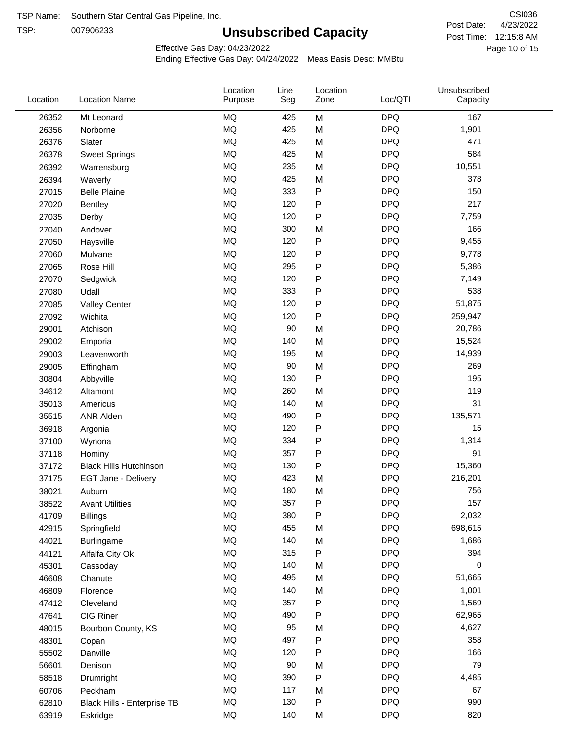TSP:

# **Unsubscribed Capacity**

4/23/2022 Page 10 of 15 Post Time: 12:15:8 AM CSI036 Post Date:

Effective Gas Day: 04/23/2022

| Location | <b>Location Name</b>          | Location<br>Purpose | Line<br>Seg | Location<br>Zone | Loc/QTI    | Unsubscribed<br>Capacity |  |
|----------|-------------------------------|---------------------|-------------|------------------|------------|--------------------------|--|
| 26352    | Mt Leonard                    | <b>MQ</b>           | 425         | M                | <b>DPQ</b> | 167                      |  |
| 26356    | Norborne                      | <b>MQ</b>           | 425         | M                | <b>DPQ</b> | 1,901                    |  |
| 26376    | Slater                        | <b>MQ</b>           | 425         | M                | <b>DPQ</b> | 471                      |  |
| 26378    | <b>Sweet Springs</b>          | <b>MQ</b>           | 425         | M                | <b>DPQ</b> | 584                      |  |
| 26392    | Warrensburg                   | <b>MQ</b>           | 235         | M                | <b>DPQ</b> | 10,551                   |  |
| 26394    | Waverly                       | <b>MQ</b>           | 425         | M                | <b>DPQ</b> | 378                      |  |
| 27015    | <b>Belle Plaine</b>           | <b>MQ</b>           | 333         | ${\sf P}$        | <b>DPQ</b> | 150                      |  |
| 27020    | Bentley                       | <b>MQ</b>           | 120         | P                | <b>DPQ</b> | 217                      |  |
| 27035    | Derby                         | <b>MQ</b>           | 120         | P                | <b>DPQ</b> | 7,759                    |  |
| 27040    | Andover                       | <b>MQ</b>           | 300         | M                | <b>DPQ</b> | 166                      |  |
| 27050    | Haysville                     | <b>MQ</b>           | 120         | ${\sf P}$        | <b>DPQ</b> | 9,455                    |  |
| 27060    | Mulvane                       | <b>MQ</b>           | 120         | P                | <b>DPQ</b> | 9,778                    |  |
| 27065    | Rose Hill                     | <b>MQ</b>           | 295         | P                | <b>DPQ</b> | 5,386                    |  |
| 27070    | Sedgwick                      | <b>MQ</b>           | 120         | P                | <b>DPQ</b> | 7,149                    |  |
| 27080    | Udall                         | <b>MQ</b>           | 333         | P                | <b>DPQ</b> | 538                      |  |
| 27085    | <b>Valley Center</b>          | <b>MQ</b>           | 120         | P                | <b>DPQ</b> | 51,875                   |  |
| 27092    | Wichita                       | <b>MQ</b>           | 120         | $\mathsf{P}$     | <b>DPQ</b> | 259,947                  |  |
| 29001    | Atchison                      | <b>MQ</b>           | 90          | M                | <b>DPQ</b> | 20,786                   |  |
| 29002    | Emporia                       | <b>MQ</b>           | 140         | M                | <b>DPQ</b> | 15,524                   |  |
| 29003    | Leavenworth                   | <b>MQ</b>           | 195         | M                | <b>DPQ</b> | 14,939                   |  |
| 29005    | Effingham                     | <b>MQ</b>           | 90          | M                | <b>DPQ</b> | 269                      |  |
| 30804    | Abbyville                     | <b>MQ</b>           | 130         | P                | <b>DPQ</b> | 195                      |  |
| 34612    | Altamont                      | <b>MQ</b>           | 260         | M                | <b>DPQ</b> | 119                      |  |
| 35013    | Americus                      | <b>MQ</b>           | 140         | M                | <b>DPQ</b> | 31                       |  |
| 35515    | <b>ANR Alden</b>              | <b>MQ</b>           | 490         | ${\sf P}$        | <b>DPQ</b> | 135,571                  |  |
| 36918    | Argonia                       | <b>MQ</b>           | 120         | P                | <b>DPQ</b> | 15                       |  |
| 37100    | Wynona                        | <b>MQ</b>           | 334         | ${\sf P}$        | <b>DPQ</b> | 1,314                    |  |
| 37118    | Hominy                        | <b>MQ</b>           | 357         | P                | <b>DPQ</b> | 91                       |  |
| 37172    | <b>Black Hills Hutchinson</b> | <b>MQ</b>           | 130         | P                | <b>DPQ</b> | 15,360                   |  |
| 37175    | EGT Jane - Delivery           | <b>MQ</b>           | 423         | M                | <b>DPQ</b> | 216,201                  |  |
| 38021    | Auburn                        | <b>MQ</b>           | 180         | M                | <b>DPQ</b> | 756                      |  |
| 38522    | <b>Avant Utilities</b>        | MQ                  | 357         | P                | <b>DPQ</b> | 157                      |  |
| 41709    | <b>Billings</b>               | MQ                  | 380         | P                | <b>DPQ</b> | 2,032                    |  |
| 42915    | Springfield                   | <b>MQ</b>           | 455         | M                | <b>DPQ</b> | 698,615                  |  |
| 44021    | Burlingame                    | <b>MQ</b>           | 140         | M                | <b>DPQ</b> | 1,686                    |  |
| 44121    | Alfalfa City Ok               | <b>MQ</b>           | 315         | P                | <b>DPQ</b> | 394                      |  |
| 45301    | Cassoday                      | <b>MQ</b>           | 140         | M                | <b>DPQ</b> | 0                        |  |
| 46608    | Chanute                       | <b>MQ</b>           | 495         | M                | <b>DPQ</b> | 51,665                   |  |
| 46809    | Florence                      | <b>MQ</b>           | 140         | M                | <b>DPQ</b> | 1,001                    |  |
| 47412    | Cleveland                     | <b>MQ</b>           | 357         | ${\sf P}$        | <b>DPQ</b> | 1,569                    |  |
| 47641    | CIG Riner                     | <b>MQ</b>           | 490         | P                | <b>DPQ</b> | 62,965                   |  |
| 48015    | Bourbon County, KS            | <b>MQ</b>           | 95          | M                | <b>DPQ</b> | 4,627                    |  |
| 48301    | Copan                         | <b>MQ</b>           | 497         | ${\sf P}$        | <b>DPQ</b> | 358                      |  |
| 55502    | Danville                      | <b>MQ</b>           | 120         | P                | <b>DPQ</b> | 166                      |  |
| 56601    | Denison                       | <b>MQ</b>           | 90          | M                | <b>DPQ</b> | 79                       |  |
| 58518    | Drumright                     | <b>MQ</b>           | 390         | ${\sf P}$        | <b>DPQ</b> | 4,485                    |  |
| 60706    | Peckham                       | <b>MQ</b>           | 117         | M                | <b>DPQ</b> | 67                       |  |
| 62810    | Black Hills - Enterprise TB   | <b>MQ</b>           | 130         | P                | <b>DPQ</b> | 990                      |  |
| 63919    | Eskridge                      | <b>MQ</b>           | 140         | M                | <b>DPQ</b> | 820                      |  |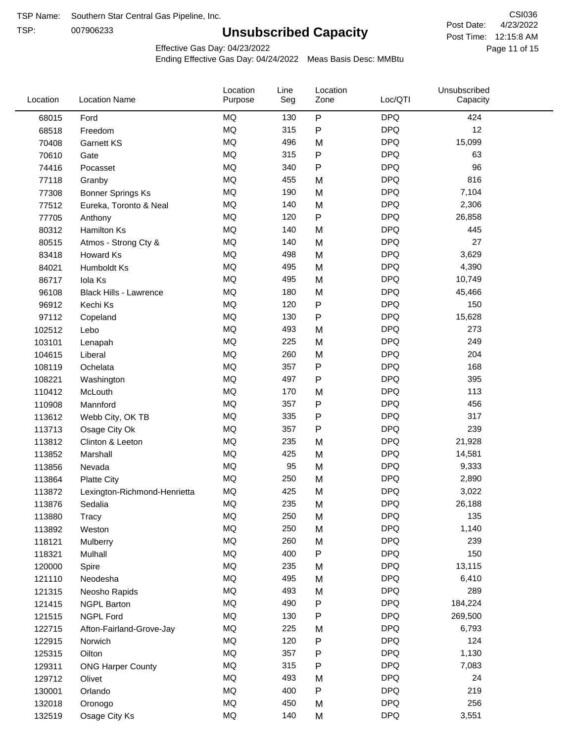TSP:

# **Unsubscribed Capacity**

4/23/2022 Page 11 of 15 Post Time: 12:15:8 AM CSI036 Post Date:

Effective Gas Day: 04/23/2022

| Location | <b>Location Name</b>          | Location<br>Purpose | Line<br>Seg | Location<br>Zone | Loc/QTI    | Unsubscribed<br>Capacity |  |
|----------|-------------------------------|---------------------|-------------|------------------|------------|--------------------------|--|
| 68015    | Ford                          | <b>MQ</b>           | 130         | $\mathsf{P}$     | <b>DPQ</b> | 424                      |  |
| 68518    | Freedom                       | <b>MQ</b>           | 315         | $\mathsf{P}$     | <b>DPQ</b> | 12                       |  |
| 70408    | <b>Garnett KS</b>             | <b>MQ</b>           | 496         | M                | <b>DPQ</b> | 15,099                   |  |
| 70610    | Gate                          | <b>MQ</b>           | 315         | P                | <b>DPQ</b> | 63                       |  |
| 74416    | Pocasset                      | <b>MQ</b>           | 340         | P                | <b>DPQ</b> | 96                       |  |
| 77118    | Granby                        | <b>MQ</b>           | 455         | M                | <b>DPQ</b> | 816                      |  |
| 77308    | <b>Bonner Springs Ks</b>      | <b>MQ</b>           | 190         | M                | <b>DPQ</b> | 7,104                    |  |
| 77512    | Eureka, Toronto & Neal        | MQ                  | 140         | M                | <b>DPQ</b> | 2,306                    |  |
| 77705    | Anthony                       | <b>MQ</b>           | 120         | ${\sf P}$        | <b>DPQ</b> | 26,858                   |  |
| 80312    | <b>Hamilton Ks</b>            | <b>MQ</b>           | 140         | M                | <b>DPQ</b> | 445                      |  |
| 80515    | Atmos - Strong Cty &          | <b>MQ</b>           | 140         | M                | <b>DPQ</b> | 27                       |  |
| 83418    | Howard Ks                     | <b>MQ</b>           | 498         | M                | <b>DPQ</b> | 3,629                    |  |
| 84021    | Humboldt Ks                   | <b>MQ</b>           | 495         | M                | <b>DPQ</b> | 4,390                    |  |
| 86717    | Iola Ks                       | <b>MQ</b>           | 495         | M                | <b>DPQ</b> | 10,749                   |  |
| 96108    | <b>Black Hills - Lawrence</b> | <b>MQ</b>           | 180         | M                | <b>DPQ</b> | 45,466                   |  |
| 96912    | Kechi Ks                      | <b>MQ</b>           | 120         | P                | <b>DPQ</b> | 150                      |  |
| 97112    | Copeland                      | <b>MQ</b>           | 130         | P                | <b>DPQ</b> | 15,628                   |  |
| 102512   | Lebo                          | <b>MQ</b>           | 493         | M                | <b>DPQ</b> | 273                      |  |
| 103101   | Lenapah                       | <b>MQ</b>           | 225         | M                | <b>DPQ</b> | 249                      |  |
| 104615   | Liberal                       | <b>MQ</b>           | 260         | M                | <b>DPQ</b> | 204                      |  |
| 108119   | Ochelata                      | <b>MQ</b>           | 357         | ${\sf P}$        | <b>DPQ</b> | 168                      |  |
| 108221   | Washington                    | <b>MQ</b>           | 497         | P                | <b>DPQ</b> | 395                      |  |
| 110412   | McLouth                       | <b>MQ</b>           | 170         | M                | <b>DPQ</b> | 113                      |  |
| 110908   | Mannford                      | <b>MQ</b>           | 357         | $\mathsf{P}$     | <b>DPQ</b> | 456                      |  |
| 113612   | Webb City, OK TB              | <b>MQ</b>           | 335         | P                | <b>DPQ</b> | 317                      |  |
| 113713   | Osage City Ok                 | <b>MQ</b>           | 357         | P                | <b>DPQ</b> | 239                      |  |
| 113812   | Clinton & Leeton              | <b>MQ</b>           | 235         | M                | <b>DPQ</b> | 21,928                   |  |
| 113852   | Marshall                      | <b>MQ</b>           | 425         | M                | <b>DPQ</b> | 14,581                   |  |
| 113856   | Nevada                        | <b>MQ</b>           | 95          | M                | <b>DPQ</b> | 9,333                    |  |
| 113864   | <b>Platte City</b>            | MQ                  | 250         | M                | <b>DPQ</b> | 2,890                    |  |
| 113872   | Lexington-Richmond-Henrietta  | MQ                  | 425         | M                | <b>DPQ</b> | 3,022                    |  |
| 113876   | Sedalia                       | MQ                  | 235         | M                | <b>DPQ</b> | 26,188                   |  |
| 113880   | Tracy                         | MQ                  | 250         | M                | <b>DPQ</b> | 135                      |  |
| 113892   | Weston                        | MQ                  | 250         | M                | <b>DPQ</b> | 1,140                    |  |
| 118121   | Mulberry                      | MQ                  | 260         | M                | <b>DPQ</b> | 239                      |  |
| 118321   | Mulhall                       | MQ                  | 400         | P                | <b>DPQ</b> | 150                      |  |
| 120000   | Spire                         | MQ                  | 235         | M                | <b>DPQ</b> | 13,115                   |  |
| 121110   | Neodesha                      | MQ                  | 495         | M                | <b>DPQ</b> | 6,410                    |  |
| 121315   | Neosho Rapids                 | <b>MQ</b>           | 493         | M                | <b>DPQ</b> | 289                      |  |
| 121415   | <b>NGPL Barton</b>            | MQ                  | 490         | P                | <b>DPQ</b> | 184,224                  |  |
| 121515   | <b>NGPL Ford</b>              | MQ                  | 130         | P                | <b>DPQ</b> | 269,500                  |  |
| 122715   | Afton-Fairland-Grove-Jay      | MQ                  | 225         | M                | <b>DPQ</b> | 6,793                    |  |
| 122915   | Norwich                       | MQ                  | 120         | P                | <b>DPQ</b> | 124                      |  |
| 125315   | Oilton                        | MQ                  | 357         | ${\sf P}$        | <b>DPQ</b> | 1,130                    |  |
| 129311   | <b>ONG Harper County</b>      | MQ                  | 315         | P                | <b>DPQ</b> | 7,083                    |  |
| 129712   | Olivet                        | MQ                  | 493         | M                | <b>DPQ</b> | 24                       |  |
| 130001   | Orlando                       | MQ                  | 400         | ${\sf P}$        | <b>DPQ</b> | 219                      |  |
| 132018   | Oronogo                       | <b>MQ</b>           | 450         | M                | <b>DPQ</b> | 256                      |  |
| 132519   | Osage City Ks                 | <b>MQ</b>           | 140         | M                | <b>DPQ</b> | 3,551                    |  |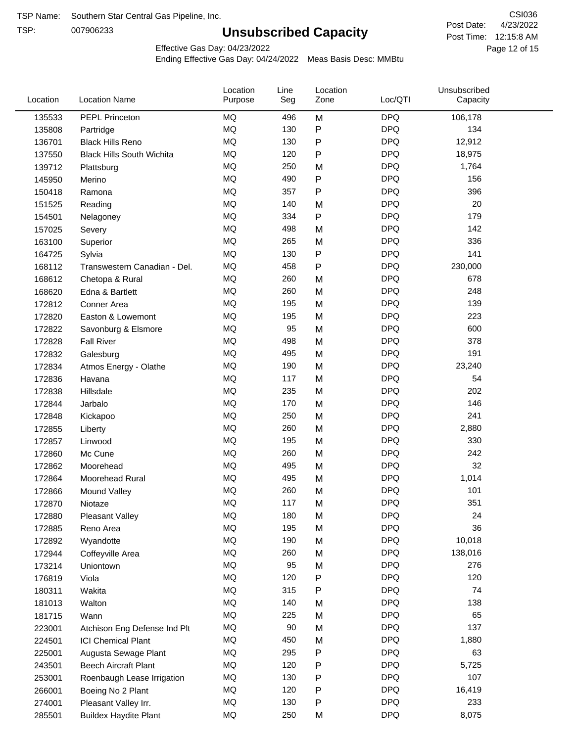TSP:

# **Unsubscribed Capacity**

4/23/2022 Page 12 of 15 Post Time: 12:15:8 AM CSI036 Post Date:

Effective Gas Day: 04/23/2022

| Location | <b>Location Name</b>             | Location<br>Purpose | Line<br>Seg | Location<br>Zone | Loc/QTI    | Unsubscribed<br>Capacity |  |
|----------|----------------------------------|---------------------|-------------|------------------|------------|--------------------------|--|
| 135533   | PEPL Princeton                   | MQ                  | 496         | M                | <b>DPQ</b> | 106,178                  |  |
| 135808   | Partridge                        | MQ                  | 130         | P                | <b>DPQ</b> | 134                      |  |
| 136701   | <b>Black Hills Reno</b>          | MQ                  | 130         | $\mathsf{P}$     | <b>DPQ</b> | 12,912                   |  |
| 137550   | <b>Black Hills South Wichita</b> | MQ                  | 120         | $\mathsf{P}$     | <b>DPQ</b> | 18,975                   |  |
| 139712   | Plattsburg                       | <b>MQ</b>           | 250         | M                | <b>DPQ</b> | 1,764                    |  |
| 145950   | Merino                           | <b>MQ</b>           | 490         | P                | <b>DPQ</b> | 156                      |  |
| 150418   | Ramona                           | <b>MQ</b>           | 357         | $\mathsf{P}$     | <b>DPQ</b> | 396                      |  |
| 151525   | Reading                          | MQ                  | 140         | M                | <b>DPQ</b> | 20                       |  |
| 154501   | Nelagoney                        | <b>MQ</b>           | 334         | P                | <b>DPQ</b> | 179                      |  |
| 157025   | Severy                           | <b>MQ</b>           | 498         | M                | <b>DPQ</b> | 142                      |  |
| 163100   | Superior                         | MQ                  | 265         | M                | <b>DPQ</b> | 336                      |  |
| 164725   | Sylvia                           | MQ                  | 130         | P                | <b>DPQ</b> | 141                      |  |
| 168112   | Transwestern Canadian - Del.     | MQ                  | 458         | P                | <b>DPQ</b> | 230,000                  |  |
| 168612   | Chetopa & Rural                  | <b>MQ</b>           | 260         | M                | <b>DPQ</b> | 678                      |  |
| 168620   | Edna & Bartlett                  | MQ                  | 260         | M                | <b>DPQ</b> | 248                      |  |
| 172812   | Conner Area                      | MQ                  | 195         | M                | <b>DPQ</b> | 139                      |  |
| 172820   | Easton & Lowemont                | MQ                  | 195         | M                | <b>DPQ</b> | 223                      |  |
| 172822   | Savonburg & Elsmore              | MQ                  | 95          | M                | <b>DPQ</b> | 600                      |  |
| 172828   | <b>Fall River</b>                | <b>MQ</b>           | 498         | M                | <b>DPQ</b> | 378                      |  |
| 172832   | Galesburg                        | <b>MQ</b>           | 495         | M                | <b>DPQ</b> | 191                      |  |
| 172834   | Atmos Energy - Olathe            | MQ                  | 190         | M                | <b>DPQ</b> | 23,240                   |  |
| 172836   | Havana                           | <b>MQ</b>           | 117         | M                | <b>DPQ</b> | 54                       |  |
| 172838   | Hillsdale                        | <b>MQ</b>           | 235         | M                | <b>DPQ</b> | 202                      |  |
| 172844   | Jarbalo                          | <b>MQ</b>           | 170         | M                | <b>DPQ</b> | 146                      |  |
| 172848   | Kickapoo                         | <b>MQ</b>           | 250         | M                | <b>DPQ</b> | 241                      |  |
| 172855   | Liberty                          | MQ                  | 260         | M                | <b>DPQ</b> | 2,880                    |  |
| 172857   | Linwood                          | <b>MQ</b>           | 195         | M                | <b>DPQ</b> | 330                      |  |
| 172860   | Mc Cune                          | MQ                  | 260         | M                | <b>DPQ</b> | 242                      |  |
| 172862   | Moorehead                        | <b>MQ</b>           | 495         | M                | <b>DPQ</b> | 32                       |  |
| 172864   | Moorehead Rural                  | <b>MQ</b>           | 495         | M                | <b>DPQ</b> | 1,014                    |  |
| 172866   | Mound Valley                     | <b>MQ</b>           | 260         | M                | <b>DPQ</b> | 101                      |  |
| 172870   | Niotaze                          | MQ                  | 117         | M                | <b>DPQ</b> | 351                      |  |
| 172880   | <b>Pleasant Valley</b>           | MQ                  | 180         | M                | <b>DPQ</b> | 24                       |  |
| 172885   | Reno Area                        | MQ                  | 195         | M                | <b>DPQ</b> | 36                       |  |
| 172892   | Wyandotte                        | MQ                  | 190         | M                | <b>DPQ</b> | 10,018                   |  |
| 172944   | Coffeyville Area                 | MQ                  | 260         | M                | <b>DPQ</b> | 138,016                  |  |
| 173214   | Uniontown                        | MQ                  | 95          | M                | <b>DPQ</b> | 276                      |  |
| 176819   | Viola                            | MQ                  | 120         | ${\sf P}$        | <b>DPQ</b> | 120                      |  |
| 180311   | Wakita                           | <b>MQ</b>           | 315         | P                | <b>DPQ</b> | 74                       |  |
| 181013   | Walton                           | MQ                  | 140         | M                | <b>DPQ</b> | 138                      |  |
| 181715   | Wann                             | MQ                  | 225         | M                | <b>DPQ</b> | 65                       |  |
| 223001   | Atchison Eng Defense Ind Plt     | MQ                  | 90          | M                | <b>DPQ</b> | 137                      |  |
| 224501   | <b>ICI Chemical Plant</b>        | $\sf{MQ}$           | 450         | M                | <b>DPQ</b> | 1,880                    |  |
| 225001   | Augusta Sewage Plant             | MQ                  | 295         | P                | <b>DPQ</b> | 63                       |  |
| 243501   | <b>Beech Aircraft Plant</b>      | MQ                  | 120         | P                | <b>DPQ</b> | 5,725                    |  |
| 253001   | Roenbaugh Lease Irrigation       | MQ                  | 130         | P                | <b>DPQ</b> | 107                      |  |
| 266001   | Boeing No 2 Plant                | MQ                  | 120         | P                | <b>DPQ</b> | 16,419                   |  |
| 274001   | Pleasant Valley Irr.             | MQ                  | 130         | P                | <b>DPQ</b> | 233                      |  |
| 285501   | <b>Buildex Haydite Plant</b>     | MQ                  | 250         | M                | <b>DPQ</b> | 8,075                    |  |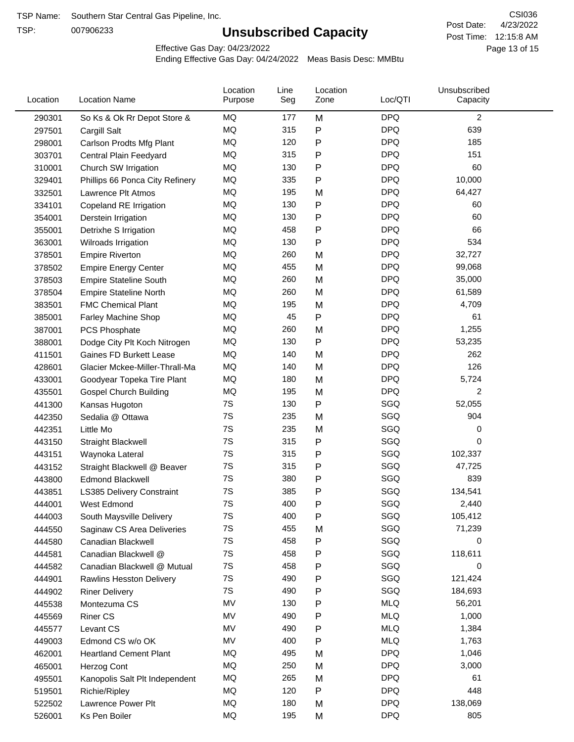TSP:

# **Unsubscribed Capacity**

4/23/2022 Page 13 of 15 Post Time: 12:15:8 AM CSI036 Post Date:

Effective Gas Day: 04/23/2022

| <b>DPQ</b><br>2<br>MQ<br>M<br>177<br>290301<br>So Ks & Ok Rr Depot Store &<br>MQ<br>315<br>P<br><b>DPQ</b><br>639<br>297501<br>Cargill Salt<br>MQ<br>120<br>$\mathsf{P}$<br><b>DPQ</b><br>185<br>298001<br>Carlson Prodts Mfg Plant<br>MQ<br><b>DPQ</b><br>315<br>151<br>$\mathsf{P}$<br>303701<br>Central Plain Feedyard<br><b>MQ</b><br><b>DPQ</b><br>$\mathsf{P}$<br>60<br>130<br>310001<br>Church SW Irrigation<br><b>DPQ</b><br>MQ<br>10,000<br>335<br>$\mathsf{P}$<br>329401<br>Phillips 66 Ponca City Refinery<br><b>DPQ</b><br>MQ<br>64,427<br>195<br>M<br>332501<br>Lawrence Plt Atmos<br>MQ<br>130<br><b>DPQ</b><br>$\mathsf{P}$<br>60<br>334101<br>Copeland RE Irrigation<br>${\sf P}$<br><b>DPQ</b><br>MQ<br>130<br>60<br>354001<br>Derstein Irrigation<br>MQ<br>458<br>$\mathsf{P}$<br><b>DPQ</b><br>66<br>355001<br>Detrixhe S Irrigation<br>MQ<br>$\mathsf{P}$<br><b>DPQ</b><br>534<br>130<br>363001<br>Wilroads Irrigation<br>MQ<br><b>DPQ</b><br>32,727<br>260<br>M<br>378501<br><b>Empire Riverton</b><br>MQ<br>455<br><b>DPQ</b><br>99,068<br>378502<br>M<br><b>Empire Energy Center</b><br><b>MQ</b><br><b>DPQ</b><br>260<br>M<br>35,000<br>378503<br><b>Empire Stateline South</b><br>MQ<br>260<br><b>DPQ</b><br>M<br>61,589<br>378504<br><b>Empire Stateline North</b><br><b>DPQ</b><br>MQ<br>M<br>4,709<br>195<br>383501<br><b>FMC Chemical Plant</b><br>MQ<br>45<br><b>DPQ</b><br>$\mathsf{P}$<br>61<br>385001<br>Farley Machine Shop<br><b>DPQ</b><br>MQ<br>1,255<br>260<br>M<br>387001<br>PCS Phosphate<br>MQ<br>130<br>$\mathsf{P}$<br><b>DPQ</b><br>53,235<br>388001<br>Dodge City Plt Koch Nitrogen<br>MQ<br><b>DPQ</b><br>262<br>140<br>M<br>411501<br>Gaines FD Burkett Lease<br><b>MQ</b><br>126<br>140<br><b>DPQ</b><br>428601<br>Glacier Mckee-Miller-Thrall-Ma<br>M<br><b>MQ</b><br>180<br><b>DPQ</b><br>M<br>5,724<br>433001<br>Goodyear Topeka Tire Plant<br><b>MQ</b><br><b>DPQ</b><br>195<br>2<br>M<br><b>Gospel Church Building</b><br>435501<br>7S<br>130<br>$\mathsf{P}$<br>SGQ<br>441300<br>Kansas Hugoton<br>52,055<br>SGQ<br>7S<br>904<br>Sedalia @ Ottawa<br>235<br>M<br>442350<br>7S<br>SGQ<br>235<br>0<br>442351<br>Little Mo<br>M<br>SGQ<br>7S<br>315<br>$\mathsf{P}$<br>0<br>443150<br>Straight Blackwell<br>7S<br>SGQ<br>315<br>${\sf P}$<br>102,337<br>443151<br>Waynoka Lateral<br>SGQ<br>7S<br>$\mathsf{P}$<br>315<br>47,725<br>443152<br>Straight Blackwell @ Beaver<br>7S<br>380<br>${\sf P}$<br>SGQ<br>839<br><b>Edmond Blackwell</b><br>443800<br>7S<br>SGQ<br>385<br>P<br>134,541<br>443851<br>LS385 Delivery Constraint<br>7S<br>SGQ<br>400<br>P<br>2,440<br>West Edmond<br>444001<br>$\mathsf{P}$<br>SGQ<br>7S<br>400<br>105,412<br>444003<br>South Maysville Delivery<br>7S<br>SGQ<br>455<br>71,239<br>444550<br>Saginaw CS Area Deliveries<br>M<br>SGQ<br>7S<br>458<br>$\mathsf{P}$<br>0<br>444580<br>Canadian Blackwell<br>7S<br>458<br>SGQ<br>118,611<br>$\mathsf{P}$<br>444581<br>Canadian Blackwell @<br>7S<br>SGQ<br>458<br>$\mathsf{P}$<br>0<br>444582<br>Canadian Blackwell @ Mutual<br>SGQ<br>7S<br>121,424<br>490<br>$\mathsf{P}$<br>444901<br><b>Rawlins Hesston Delivery</b><br>7S<br>SGQ<br>490<br>Ρ<br>184,693<br>444902<br><b>Riner Delivery</b><br>MV<br><b>MLQ</b><br>130<br>Ρ<br>56,201<br>445538<br>Montezuma CS<br>MV<br><b>MLQ</b><br>490<br>P<br>1,000<br><b>Riner CS</b><br>445569<br>MV<br>P<br><b>MLQ</b><br>490<br>1,384<br>Levant CS<br>445577<br>MV<br><b>MLQ</b><br>400<br>$\mathsf{P}$<br>1,763<br>449003<br>Edmond CS w/o OK<br>MQ<br><b>DPQ</b><br>1,046<br>495<br>M<br>462001<br><b>Heartland Cement Plant</b><br>MQ<br>250<br><b>DPQ</b><br>3,000<br>465001<br>Herzog Cont<br>M<br><b>DPQ</b><br>MQ<br>265<br>61<br>M<br>Kanopolis Salt Plt Independent<br>495501<br>MQ<br><b>DPQ</b><br>448<br>120<br>$\mathsf{P}$<br>519501<br>Richie/Ripley<br>MQ<br><b>DPQ</b><br>138,069<br>180<br>M<br>522502<br>Lawrence Power Plt<br>MQ<br>195<br><b>DPQ</b><br>805<br>526001<br>Ks Pen Boiler<br>M | Location | <b>Location Name</b> | Location<br>Purpose | Line<br>Seg | Location<br>Zone | Loc/QTI | Unsubscribed<br>Capacity |  |
|---------------------------------------------------------------------------------------------------------------------------------------------------------------------------------------------------------------------------------------------------------------------------------------------------------------------------------------------------------------------------------------------------------------------------------------------------------------------------------------------------------------------------------------------------------------------------------------------------------------------------------------------------------------------------------------------------------------------------------------------------------------------------------------------------------------------------------------------------------------------------------------------------------------------------------------------------------------------------------------------------------------------------------------------------------------------------------------------------------------------------------------------------------------------------------------------------------------------------------------------------------------------------------------------------------------------------------------------------------------------------------------------------------------------------------------------------------------------------------------------------------------------------------------------------------------------------------------------------------------------------------------------------------------------------------------------------------------------------------------------------------------------------------------------------------------------------------------------------------------------------------------------------------------------------------------------------------------------------------------------------------------------------------------------------------------------------------------------------------------------------------------------------------------------------------------------------------------------------------------------------------------------------------------------------------------------------------------------------------------------------------------------------------------------------------------------------------------------------------------------------------------------------------------------------------------------------------------------------------------------------------------------------------------------------------------------------------------------------------------------------------------------------------------------------------------------------------------------------------------------------------------------------------------------------------------------------------------------------------------------------------------------------------------------------------------------------------------------------------------------------------------------------------------------------------------------------------------------------------------------------------------------------------------------------------------------------------------------------------------------------------------------------------------------------------------------------------------------------------------------------------------------------------------------------------------------------------------------------------------------------------------------------------------------------------------------------------------------------------------------------------------------------------------------------------------------------------------------------------------------------------------------------------------------------------------------------------------------------------------------|----------|----------------------|---------------------|-------------|------------------|---------|--------------------------|--|
|                                                                                                                                                                                                                                                                                                                                                                                                                                                                                                                                                                                                                                                                                                                                                                                                                                                                                                                                                                                                                                                                                                                                                                                                                                                                                                                                                                                                                                                                                                                                                                                                                                                                                                                                                                                                                                                                                                                                                                                                                                                                                                                                                                                                                                                                                                                                                                                                                                                                                                                                                                                                                                                                                                                                                                                                                                                                                                                                                                                                                                                                                                                                                                                                                                                                                                                                                                                                                                                                                                                                                                                                                                                                                                                                                                                                                                                                                                                                                                                             |          |                      |                     |             |                  |         |                          |  |
|                                                                                                                                                                                                                                                                                                                                                                                                                                                                                                                                                                                                                                                                                                                                                                                                                                                                                                                                                                                                                                                                                                                                                                                                                                                                                                                                                                                                                                                                                                                                                                                                                                                                                                                                                                                                                                                                                                                                                                                                                                                                                                                                                                                                                                                                                                                                                                                                                                                                                                                                                                                                                                                                                                                                                                                                                                                                                                                                                                                                                                                                                                                                                                                                                                                                                                                                                                                                                                                                                                                                                                                                                                                                                                                                                                                                                                                                                                                                                                                             |          |                      |                     |             |                  |         |                          |  |
|                                                                                                                                                                                                                                                                                                                                                                                                                                                                                                                                                                                                                                                                                                                                                                                                                                                                                                                                                                                                                                                                                                                                                                                                                                                                                                                                                                                                                                                                                                                                                                                                                                                                                                                                                                                                                                                                                                                                                                                                                                                                                                                                                                                                                                                                                                                                                                                                                                                                                                                                                                                                                                                                                                                                                                                                                                                                                                                                                                                                                                                                                                                                                                                                                                                                                                                                                                                                                                                                                                                                                                                                                                                                                                                                                                                                                                                                                                                                                                                             |          |                      |                     |             |                  |         |                          |  |
|                                                                                                                                                                                                                                                                                                                                                                                                                                                                                                                                                                                                                                                                                                                                                                                                                                                                                                                                                                                                                                                                                                                                                                                                                                                                                                                                                                                                                                                                                                                                                                                                                                                                                                                                                                                                                                                                                                                                                                                                                                                                                                                                                                                                                                                                                                                                                                                                                                                                                                                                                                                                                                                                                                                                                                                                                                                                                                                                                                                                                                                                                                                                                                                                                                                                                                                                                                                                                                                                                                                                                                                                                                                                                                                                                                                                                                                                                                                                                                                             |          |                      |                     |             |                  |         |                          |  |
|                                                                                                                                                                                                                                                                                                                                                                                                                                                                                                                                                                                                                                                                                                                                                                                                                                                                                                                                                                                                                                                                                                                                                                                                                                                                                                                                                                                                                                                                                                                                                                                                                                                                                                                                                                                                                                                                                                                                                                                                                                                                                                                                                                                                                                                                                                                                                                                                                                                                                                                                                                                                                                                                                                                                                                                                                                                                                                                                                                                                                                                                                                                                                                                                                                                                                                                                                                                                                                                                                                                                                                                                                                                                                                                                                                                                                                                                                                                                                                                             |          |                      |                     |             |                  |         |                          |  |
|                                                                                                                                                                                                                                                                                                                                                                                                                                                                                                                                                                                                                                                                                                                                                                                                                                                                                                                                                                                                                                                                                                                                                                                                                                                                                                                                                                                                                                                                                                                                                                                                                                                                                                                                                                                                                                                                                                                                                                                                                                                                                                                                                                                                                                                                                                                                                                                                                                                                                                                                                                                                                                                                                                                                                                                                                                                                                                                                                                                                                                                                                                                                                                                                                                                                                                                                                                                                                                                                                                                                                                                                                                                                                                                                                                                                                                                                                                                                                                                             |          |                      |                     |             |                  |         |                          |  |
|                                                                                                                                                                                                                                                                                                                                                                                                                                                                                                                                                                                                                                                                                                                                                                                                                                                                                                                                                                                                                                                                                                                                                                                                                                                                                                                                                                                                                                                                                                                                                                                                                                                                                                                                                                                                                                                                                                                                                                                                                                                                                                                                                                                                                                                                                                                                                                                                                                                                                                                                                                                                                                                                                                                                                                                                                                                                                                                                                                                                                                                                                                                                                                                                                                                                                                                                                                                                                                                                                                                                                                                                                                                                                                                                                                                                                                                                                                                                                                                             |          |                      |                     |             |                  |         |                          |  |
|                                                                                                                                                                                                                                                                                                                                                                                                                                                                                                                                                                                                                                                                                                                                                                                                                                                                                                                                                                                                                                                                                                                                                                                                                                                                                                                                                                                                                                                                                                                                                                                                                                                                                                                                                                                                                                                                                                                                                                                                                                                                                                                                                                                                                                                                                                                                                                                                                                                                                                                                                                                                                                                                                                                                                                                                                                                                                                                                                                                                                                                                                                                                                                                                                                                                                                                                                                                                                                                                                                                                                                                                                                                                                                                                                                                                                                                                                                                                                                                             |          |                      |                     |             |                  |         |                          |  |
|                                                                                                                                                                                                                                                                                                                                                                                                                                                                                                                                                                                                                                                                                                                                                                                                                                                                                                                                                                                                                                                                                                                                                                                                                                                                                                                                                                                                                                                                                                                                                                                                                                                                                                                                                                                                                                                                                                                                                                                                                                                                                                                                                                                                                                                                                                                                                                                                                                                                                                                                                                                                                                                                                                                                                                                                                                                                                                                                                                                                                                                                                                                                                                                                                                                                                                                                                                                                                                                                                                                                                                                                                                                                                                                                                                                                                                                                                                                                                                                             |          |                      |                     |             |                  |         |                          |  |
|                                                                                                                                                                                                                                                                                                                                                                                                                                                                                                                                                                                                                                                                                                                                                                                                                                                                                                                                                                                                                                                                                                                                                                                                                                                                                                                                                                                                                                                                                                                                                                                                                                                                                                                                                                                                                                                                                                                                                                                                                                                                                                                                                                                                                                                                                                                                                                                                                                                                                                                                                                                                                                                                                                                                                                                                                                                                                                                                                                                                                                                                                                                                                                                                                                                                                                                                                                                                                                                                                                                                                                                                                                                                                                                                                                                                                                                                                                                                                                                             |          |                      |                     |             |                  |         |                          |  |
|                                                                                                                                                                                                                                                                                                                                                                                                                                                                                                                                                                                                                                                                                                                                                                                                                                                                                                                                                                                                                                                                                                                                                                                                                                                                                                                                                                                                                                                                                                                                                                                                                                                                                                                                                                                                                                                                                                                                                                                                                                                                                                                                                                                                                                                                                                                                                                                                                                                                                                                                                                                                                                                                                                                                                                                                                                                                                                                                                                                                                                                                                                                                                                                                                                                                                                                                                                                                                                                                                                                                                                                                                                                                                                                                                                                                                                                                                                                                                                                             |          |                      |                     |             |                  |         |                          |  |
|                                                                                                                                                                                                                                                                                                                                                                                                                                                                                                                                                                                                                                                                                                                                                                                                                                                                                                                                                                                                                                                                                                                                                                                                                                                                                                                                                                                                                                                                                                                                                                                                                                                                                                                                                                                                                                                                                                                                                                                                                                                                                                                                                                                                                                                                                                                                                                                                                                                                                                                                                                                                                                                                                                                                                                                                                                                                                                                                                                                                                                                                                                                                                                                                                                                                                                                                                                                                                                                                                                                                                                                                                                                                                                                                                                                                                                                                                                                                                                                             |          |                      |                     |             |                  |         |                          |  |
|                                                                                                                                                                                                                                                                                                                                                                                                                                                                                                                                                                                                                                                                                                                                                                                                                                                                                                                                                                                                                                                                                                                                                                                                                                                                                                                                                                                                                                                                                                                                                                                                                                                                                                                                                                                                                                                                                                                                                                                                                                                                                                                                                                                                                                                                                                                                                                                                                                                                                                                                                                                                                                                                                                                                                                                                                                                                                                                                                                                                                                                                                                                                                                                                                                                                                                                                                                                                                                                                                                                                                                                                                                                                                                                                                                                                                                                                                                                                                                                             |          |                      |                     |             |                  |         |                          |  |
|                                                                                                                                                                                                                                                                                                                                                                                                                                                                                                                                                                                                                                                                                                                                                                                                                                                                                                                                                                                                                                                                                                                                                                                                                                                                                                                                                                                                                                                                                                                                                                                                                                                                                                                                                                                                                                                                                                                                                                                                                                                                                                                                                                                                                                                                                                                                                                                                                                                                                                                                                                                                                                                                                                                                                                                                                                                                                                                                                                                                                                                                                                                                                                                                                                                                                                                                                                                                                                                                                                                                                                                                                                                                                                                                                                                                                                                                                                                                                                                             |          |                      |                     |             |                  |         |                          |  |
|                                                                                                                                                                                                                                                                                                                                                                                                                                                                                                                                                                                                                                                                                                                                                                                                                                                                                                                                                                                                                                                                                                                                                                                                                                                                                                                                                                                                                                                                                                                                                                                                                                                                                                                                                                                                                                                                                                                                                                                                                                                                                                                                                                                                                                                                                                                                                                                                                                                                                                                                                                                                                                                                                                                                                                                                                                                                                                                                                                                                                                                                                                                                                                                                                                                                                                                                                                                                                                                                                                                                                                                                                                                                                                                                                                                                                                                                                                                                                                                             |          |                      |                     |             |                  |         |                          |  |
|                                                                                                                                                                                                                                                                                                                                                                                                                                                                                                                                                                                                                                                                                                                                                                                                                                                                                                                                                                                                                                                                                                                                                                                                                                                                                                                                                                                                                                                                                                                                                                                                                                                                                                                                                                                                                                                                                                                                                                                                                                                                                                                                                                                                                                                                                                                                                                                                                                                                                                                                                                                                                                                                                                                                                                                                                                                                                                                                                                                                                                                                                                                                                                                                                                                                                                                                                                                                                                                                                                                                                                                                                                                                                                                                                                                                                                                                                                                                                                                             |          |                      |                     |             |                  |         |                          |  |
|                                                                                                                                                                                                                                                                                                                                                                                                                                                                                                                                                                                                                                                                                                                                                                                                                                                                                                                                                                                                                                                                                                                                                                                                                                                                                                                                                                                                                                                                                                                                                                                                                                                                                                                                                                                                                                                                                                                                                                                                                                                                                                                                                                                                                                                                                                                                                                                                                                                                                                                                                                                                                                                                                                                                                                                                                                                                                                                                                                                                                                                                                                                                                                                                                                                                                                                                                                                                                                                                                                                                                                                                                                                                                                                                                                                                                                                                                                                                                                                             |          |                      |                     |             |                  |         |                          |  |
|                                                                                                                                                                                                                                                                                                                                                                                                                                                                                                                                                                                                                                                                                                                                                                                                                                                                                                                                                                                                                                                                                                                                                                                                                                                                                                                                                                                                                                                                                                                                                                                                                                                                                                                                                                                                                                                                                                                                                                                                                                                                                                                                                                                                                                                                                                                                                                                                                                                                                                                                                                                                                                                                                                                                                                                                                                                                                                                                                                                                                                                                                                                                                                                                                                                                                                                                                                                                                                                                                                                                                                                                                                                                                                                                                                                                                                                                                                                                                                                             |          |                      |                     |             |                  |         |                          |  |
|                                                                                                                                                                                                                                                                                                                                                                                                                                                                                                                                                                                                                                                                                                                                                                                                                                                                                                                                                                                                                                                                                                                                                                                                                                                                                                                                                                                                                                                                                                                                                                                                                                                                                                                                                                                                                                                                                                                                                                                                                                                                                                                                                                                                                                                                                                                                                                                                                                                                                                                                                                                                                                                                                                                                                                                                                                                                                                                                                                                                                                                                                                                                                                                                                                                                                                                                                                                                                                                                                                                                                                                                                                                                                                                                                                                                                                                                                                                                                                                             |          |                      |                     |             |                  |         |                          |  |
|                                                                                                                                                                                                                                                                                                                                                                                                                                                                                                                                                                                                                                                                                                                                                                                                                                                                                                                                                                                                                                                                                                                                                                                                                                                                                                                                                                                                                                                                                                                                                                                                                                                                                                                                                                                                                                                                                                                                                                                                                                                                                                                                                                                                                                                                                                                                                                                                                                                                                                                                                                                                                                                                                                                                                                                                                                                                                                                                                                                                                                                                                                                                                                                                                                                                                                                                                                                                                                                                                                                                                                                                                                                                                                                                                                                                                                                                                                                                                                                             |          |                      |                     |             |                  |         |                          |  |
|                                                                                                                                                                                                                                                                                                                                                                                                                                                                                                                                                                                                                                                                                                                                                                                                                                                                                                                                                                                                                                                                                                                                                                                                                                                                                                                                                                                                                                                                                                                                                                                                                                                                                                                                                                                                                                                                                                                                                                                                                                                                                                                                                                                                                                                                                                                                                                                                                                                                                                                                                                                                                                                                                                                                                                                                                                                                                                                                                                                                                                                                                                                                                                                                                                                                                                                                                                                                                                                                                                                                                                                                                                                                                                                                                                                                                                                                                                                                                                                             |          |                      |                     |             |                  |         |                          |  |
|                                                                                                                                                                                                                                                                                                                                                                                                                                                                                                                                                                                                                                                                                                                                                                                                                                                                                                                                                                                                                                                                                                                                                                                                                                                                                                                                                                                                                                                                                                                                                                                                                                                                                                                                                                                                                                                                                                                                                                                                                                                                                                                                                                                                                                                                                                                                                                                                                                                                                                                                                                                                                                                                                                                                                                                                                                                                                                                                                                                                                                                                                                                                                                                                                                                                                                                                                                                                                                                                                                                                                                                                                                                                                                                                                                                                                                                                                                                                                                                             |          |                      |                     |             |                  |         |                          |  |
|                                                                                                                                                                                                                                                                                                                                                                                                                                                                                                                                                                                                                                                                                                                                                                                                                                                                                                                                                                                                                                                                                                                                                                                                                                                                                                                                                                                                                                                                                                                                                                                                                                                                                                                                                                                                                                                                                                                                                                                                                                                                                                                                                                                                                                                                                                                                                                                                                                                                                                                                                                                                                                                                                                                                                                                                                                                                                                                                                                                                                                                                                                                                                                                                                                                                                                                                                                                                                                                                                                                                                                                                                                                                                                                                                                                                                                                                                                                                                                                             |          |                      |                     |             |                  |         |                          |  |
|                                                                                                                                                                                                                                                                                                                                                                                                                                                                                                                                                                                                                                                                                                                                                                                                                                                                                                                                                                                                                                                                                                                                                                                                                                                                                                                                                                                                                                                                                                                                                                                                                                                                                                                                                                                                                                                                                                                                                                                                                                                                                                                                                                                                                                                                                                                                                                                                                                                                                                                                                                                                                                                                                                                                                                                                                                                                                                                                                                                                                                                                                                                                                                                                                                                                                                                                                                                                                                                                                                                                                                                                                                                                                                                                                                                                                                                                                                                                                                                             |          |                      |                     |             |                  |         |                          |  |
|                                                                                                                                                                                                                                                                                                                                                                                                                                                                                                                                                                                                                                                                                                                                                                                                                                                                                                                                                                                                                                                                                                                                                                                                                                                                                                                                                                                                                                                                                                                                                                                                                                                                                                                                                                                                                                                                                                                                                                                                                                                                                                                                                                                                                                                                                                                                                                                                                                                                                                                                                                                                                                                                                                                                                                                                                                                                                                                                                                                                                                                                                                                                                                                                                                                                                                                                                                                                                                                                                                                                                                                                                                                                                                                                                                                                                                                                                                                                                                                             |          |                      |                     |             |                  |         |                          |  |
|                                                                                                                                                                                                                                                                                                                                                                                                                                                                                                                                                                                                                                                                                                                                                                                                                                                                                                                                                                                                                                                                                                                                                                                                                                                                                                                                                                                                                                                                                                                                                                                                                                                                                                                                                                                                                                                                                                                                                                                                                                                                                                                                                                                                                                                                                                                                                                                                                                                                                                                                                                                                                                                                                                                                                                                                                                                                                                                                                                                                                                                                                                                                                                                                                                                                                                                                                                                                                                                                                                                                                                                                                                                                                                                                                                                                                                                                                                                                                                                             |          |                      |                     |             |                  |         |                          |  |
|                                                                                                                                                                                                                                                                                                                                                                                                                                                                                                                                                                                                                                                                                                                                                                                                                                                                                                                                                                                                                                                                                                                                                                                                                                                                                                                                                                                                                                                                                                                                                                                                                                                                                                                                                                                                                                                                                                                                                                                                                                                                                                                                                                                                                                                                                                                                                                                                                                                                                                                                                                                                                                                                                                                                                                                                                                                                                                                                                                                                                                                                                                                                                                                                                                                                                                                                                                                                                                                                                                                                                                                                                                                                                                                                                                                                                                                                                                                                                                                             |          |                      |                     |             |                  |         |                          |  |
|                                                                                                                                                                                                                                                                                                                                                                                                                                                                                                                                                                                                                                                                                                                                                                                                                                                                                                                                                                                                                                                                                                                                                                                                                                                                                                                                                                                                                                                                                                                                                                                                                                                                                                                                                                                                                                                                                                                                                                                                                                                                                                                                                                                                                                                                                                                                                                                                                                                                                                                                                                                                                                                                                                                                                                                                                                                                                                                                                                                                                                                                                                                                                                                                                                                                                                                                                                                                                                                                                                                                                                                                                                                                                                                                                                                                                                                                                                                                                                                             |          |                      |                     |             |                  |         |                          |  |
|                                                                                                                                                                                                                                                                                                                                                                                                                                                                                                                                                                                                                                                                                                                                                                                                                                                                                                                                                                                                                                                                                                                                                                                                                                                                                                                                                                                                                                                                                                                                                                                                                                                                                                                                                                                                                                                                                                                                                                                                                                                                                                                                                                                                                                                                                                                                                                                                                                                                                                                                                                                                                                                                                                                                                                                                                                                                                                                                                                                                                                                                                                                                                                                                                                                                                                                                                                                                                                                                                                                                                                                                                                                                                                                                                                                                                                                                                                                                                                                             |          |                      |                     |             |                  |         |                          |  |
|                                                                                                                                                                                                                                                                                                                                                                                                                                                                                                                                                                                                                                                                                                                                                                                                                                                                                                                                                                                                                                                                                                                                                                                                                                                                                                                                                                                                                                                                                                                                                                                                                                                                                                                                                                                                                                                                                                                                                                                                                                                                                                                                                                                                                                                                                                                                                                                                                                                                                                                                                                                                                                                                                                                                                                                                                                                                                                                                                                                                                                                                                                                                                                                                                                                                                                                                                                                                                                                                                                                                                                                                                                                                                                                                                                                                                                                                                                                                                                                             |          |                      |                     |             |                  |         |                          |  |
|                                                                                                                                                                                                                                                                                                                                                                                                                                                                                                                                                                                                                                                                                                                                                                                                                                                                                                                                                                                                                                                                                                                                                                                                                                                                                                                                                                                                                                                                                                                                                                                                                                                                                                                                                                                                                                                                                                                                                                                                                                                                                                                                                                                                                                                                                                                                                                                                                                                                                                                                                                                                                                                                                                                                                                                                                                                                                                                                                                                                                                                                                                                                                                                                                                                                                                                                                                                                                                                                                                                                                                                                                                                                                                                                                                                                                                                                                                                                                                                             |          |                      |                     |             |                  |         |                          |  |
|                                                                                                                                                                                                                                                                                                                                                                                                                                                                                                                                                                                                                                                                                                                                                                                                                                                                                                                                                                                                                                                                                                                                                                                                                                                                                                                                                                                                                                                                                                                                                                                                                                                                                                                                                                                                                                                                                                                                                                                                                                                                                                                                                                                                                                                                                                                                                                                                                                                                                                                                                                                                                                                                                                                                                                                                                                                                                                                                                                                                                                                                                                                                                                                                                                                                                                                                                                                                                                                                                                                                                                                                                                                                                                                                                                                                                                                                                                                                                                                             |          |                      |                     |             |                  |         |                          |  |
|                                                                                                                                                                                                                                                                                                                                                                                                                                                                                                                                                                                                                                                                                                                                                                                                                                                                                                                                                                                                                                                                                                                                                                                                                                                                                                                                                                                                                                                                                                                                                                                                                                                                                                                                                                                                                                                                                                                                                                                                                                                                                                                                                                                                                                                                                                                                                                                                                                                                                                                                                                                                                                                                                                                                                                                                                                                                                                                                                                                                                                                                                                                                                                                                                                                                                                                                                                                                                                                                                                                                                                                                                                                                                                                                                                                                                                                                                                                                                                                             |          |                      |                     |             |                  |         |                          |  |
|                                                                                                                                                                                                                                                                                                                                                                                                                                                                                                                                                                                                                                                                                                                                                                                                                                                                                                                                                                                                                                                                                                                                                                                                                                                                                                                                                                                                                                                                                                                                                                                                                                                                                                                                                                                                                                                                                                                                                                                                                                                                                                                                                                                                                                                                                                                                                                                                                                                                                                                                                                                                                                                                                                                                                                                                                                                                                                                                                                                                                                                                                                                                                                                                                                                                                                                                                                                                                                                                                                                                                                                                                                                                                                                                                                                                                                                                                                                                                                                             |          |                      |                     |             |                  |         |                          |  |
|                                                                                                                                                                                                                                                                                                                                                                                                                                                                                                                                                                                                                                                                                                                                                                                                                                                                                                                                                                                                                                                                                                                                                                                                                                                                                                                                                                                                                                                                                                                                                                                                                                                                                                                                                                                                                                                                                                                                                                                                                                                                                                                                                                                                                                                                                                                                                                                                                                                                                                                                                                                                                                                                                                                                                                                                                                                                                                                                                                                                                                                                                                                                                                                                                                                                                                                                                                                                                                                                                                                                                                                                                                                                                                                                                                                                                                                                                                                                                                                             |          |                      |                     |             |                  |         |                          |  |
|                                                                                                                                                                                                                                                                                                                                                                                                                                                                                                                                                                                                                                                                                                                                                                                                                                                                                                                                                                                                                                                                                                                                                                                                                                                                                                                                                                                                                                                                                                                                                                                                                                                                                                                                                                                                                                                                                                                                                                                                                                                                                                                                                                                                                                                                                                                                                                                                                                                                                                                                                                                                                                                                                                                                                                                                                                                                                                                                                                                                                                                                                                                                                                                                                                                                                                                                                                                                                                                                                                                                                                                                                                                                                                                                                                                                                                                                                                                                                                                             |          |                      |                     |             |                  |         |                          |  |
|                                                                                                                                                                                                                                                                                                                                                                                                                                                                                                                                                                                                                                                                                                                                                                                                                                                                                                                                                                                                                                                                                                                                                                                                                                                                                                                                                                                                                                                                                                                                                                                                                                                                                                                                                                                                                                                                                                                                                                                                                                                                                                                                                                                                                                                                                                                                                                                                                                                                                                                                                                                                                                                                                                                                                                                                                                                                                                                                                                                                                                                                                                                                                                                                                                                                                                                                                                                                                                                                                                                                                                                                                                                                                                                                                                                                                                                                                                                                                                                             |          |                      |                     |             |                  |         |                          |  |
|                                                                                                                                                                                                                                                                                                                                                                                                                                                                                                                                                                                                                                                                                                                                                                                                                                                                                                                                                                                                                                                                                                                                                                                                                                                                                                                                                                                                                                                                                                                                                                                                                                                                                                                                                                                                                                                                                                                                                                                                                                                                                                                                                                                                                                                                                                                                                                                                                                                                                                                                                                                                                                                                                                                                                                                                                                                                                                                                                                                                                                                                                                                                                                                                                                                                                                                                                                                                                                                                                                                                                                                                                                                                                                                                                                                                                                                                                                                                                                                             |          |                      |                     |             |                  |         |                          |  |
|                                                                                                                                                                                                                                                                                                                                                                                                                                                                                                                                                                                                                                                                                                                                                                                                                                                                                                                                                                                                                                                                                                                                                                                                                                                                                                                                                                                                                                                                                                                                                                                                                                                                                                                                                                                                                                                                                                                                                                                                                                                                                                                                                                                                                                                                                                                                                                                                                                                                                                                                                                                                                                                                                                                                                                                                                                                                                                                                                                                                                                                                                                                                                                                                                                                                                                                                                                                                                                                                                                                                                                                                                                                                                                                                                                                                                                                                                                                                                                                             |          |                      |                     |             |                  |         |                          |  |
|                                                                                                                                                                                                                                                                                                                                                                                                                                                                                                                                                                                                                                                                                                                                                                                                                                                                                                                                                                                                                                                                                                                                                                                                                                                                                                                                                                                                                                                                                                                                                                                                                                                                                                                                                                                                                                                                                                                                                                                                                                                                                                                                                                                                                                                                                                                                                                                                                                                                                                                                                                                                                                                                                                                                                                                                                                                                                                                                                                                                                                                                                                                                                                                                                                                                                                                                                                                                                                                                                                                                                                                                                                                                                                                                                                                                                                                                                                                                                                                             |          |                      |                     |             |                  |         |                          |  |
|                                                                                                                                                                                                                                                                                                                                                                                                                                                                                                                                                                                                                                                                                                                                                                                                                                                                                                                                                                                                                                                                                                                                                                                                                                                                                                                                                                                                                                                                                                                                                                                                                                                                                                                                                                                                                                                                                                                                                                                                                                                                                                                                                                                                                                                                                                                                                                                                                                                                                                                                                                                                                                                                                                                                                                                                                                                                                                                                                                                                                                                                                                                                                                                                                                                                                                                                                                                                                                                                                                                                                                                                                                                                                                                                                                                                                                                                                                                                                                                             |          |                      |                     |             |                  |         |                          |  |
|                                                                                                                                                                                                                                                                                                                                                                                                                                                                                                                                                                                                                                                                                                                                                                                                                                                                                                                                                                                                                                                                                                                                                                                                                                                                                                                                                                                                                                                                                                                                                                                                                                                                                                                                                                                                                                                                                                                                                                                                                                                                                                                                                                                                                                                                                                                                                                                                                                                                                                                                                                                                                                                                                                                                                                                                                                                                                                                                                                                                                                                                                                                                                                                                                                                                                                                                                                                                                                                                                                                                                                                                                                                                                                                                                                                                                                                                                                                                                                                             |          |                      |                     |             |                  |         |                          |  |
|                                                                                                                                                                                                                                                                                                                                                                                                                                                                                                                                                                                                                                                                                                                                                                                                                                                                                                                                                                                                                                                                                                                                                                                                                                                                                                                                                                                                                                                                                                                                                                                                                                                                                                                                                                                                                                                                                                                                                                                                                                                                                                                                                                                                                                                                                                                                                                                                                                                                                                                                                                                                                                                                                                                                                                                                                                                                                                                                                                                                                                                                                                                                                                                                                                                                                                                                                                                                                                                                                                                                                                                                                                                                                                                                                                                                                                                                                                                                                                                             |          |                      |                     |             |                  |         |                          |  |
|                                                                                                                                                                                                                                                                                                                                                                                                                                                                                                                                                                                                                                                                                                                                                                                                                                                                                                                                                                                                                                                                                                                                                                                                                                                                                                                                                                                                                                                                                                                                                                                                                                                                                                                                                                                                                                                                                                                                                                                                                                                                                                                                                                                                                                                                                                                                                                                                                                                                                                                                                                                                                                                                                                                                                                                                                                                                                                                                                                                                                                                                                                                                                                                                                                                                                                                                                                                                                                                                                                                                                                                                                                                                                                                                                                                                                                                                                                                                                                                             |          |                      |                     |             |                  |         |                          |  |
|                                                                                                                                                                                                                                                                                                                                                                                                                                                                                                                                                                                                                                                                                                                                                                                                                                                                                                                                                                                                                                                                                                                                                                                                                                                                                                                                                                                                                                                                                                                                                                                                                                                                                                                                                                                                                                                                                                                                                                                                                                                                                                                                                                                                                                                                                                                                                                                                                                                                                                                                                                                                                                                                                                                                                                                                                                                                                                                                                                                                                                                                                                                                                                                                                                                                                                                                                                                                                                                                                                                                                                                                                                                                                                                                                                                                                                                                                                                                                                                             |          |                      |                     |             |                  |         |                          |  |
|                                                                                                                                                                                                                                                                                                                                                                                                                                                                                                                                                                                                                                                                                                                                                                                                                                                                                                                                                                                                                                                                                                                                                                                                                                                                                                                                                                                                                                                                                                                                                                                                                                                                                                                                                                                                                                                                                                                                                                                                                                                                                                                                                                                                                                                                                                                                                                                                                                                                                                                                                                                                                                                                                                                                                                                                                                                                                                                                                                                                                                                                                                                                                                                                                                                                                                                                                                                                                                                                                                                                                                                                                                                                                                                                                                                                                                                                                                                                                                                             |          |                      |                     |             |                  |         |                          |  |
|                                                                                                                                                                                                                                                                                                                                                                                                                                                                                                                                                                                                                                                                                                                                                                                                                                                                                                                                                                                                                                                                                                                                                                                                                                                                                                                                                                                                                                                                                                                                                                                                                                                                                                                                                                                                                                                                                                                                                                                                                                                                                                                                                                                                                                                                                                                                                                                                                                                                                                                                                                                                                                                                                                                                                                                                                                                                                                                                                                                                                                                                                                                                                                                                                                                                                                                                                                                                                                                                                                                                                                                                                                                                                                                                                                                                                                                                                                                                                                                             |          |                      |                     |             |                  |         |                          |  |
|                                                                                                                                                                                                                                                                                                                                                                                                                                                                                                                                                                                                                                                                                                                                                                                                                                                                                                                                                                                                                                                                                                                                                                                                                                                                                                                                                                                                                                                                                                                                                                                                                                                                                                                                                                                                                                                                                                                                                                                                                                                                                                                                                                                                                                                                                                                                                                                                                                                                                                                                                                                                                                                                                                                                                                                                                                                                                                                                                                                                                                                                                                                                                                                                                                                                                                                                                                                                                                                                                                                                                                                                                                                                                                                                                                                                                                                                                                                                                                                             |          |                      |                     |             |                  |         |                          |  |
|                                                                                                                                                                                                                                                                                                                                                                                                                                                                                                                                                                                                                                                                                                                                                                                                                                                                                                                                                                                                                                                                                                                                                                                                                                                                                                                                                                                                                                                                                                                                                                                                                                                                                                                                                                                                                                                                                                                                                                                                                                                                                                                                                                                                                                                                                                                                                                                                                                                                                                                                                                                                                                                                                                                                                                                                                                                                                                                                                                                                                                                                                                                                                                                                                                                                                                                                                                                                                                                                                                                                                                                                                                                                                                                                                                                                                                                                                                                                                                                             |          |                      |                     |             |                  |         |                          |  |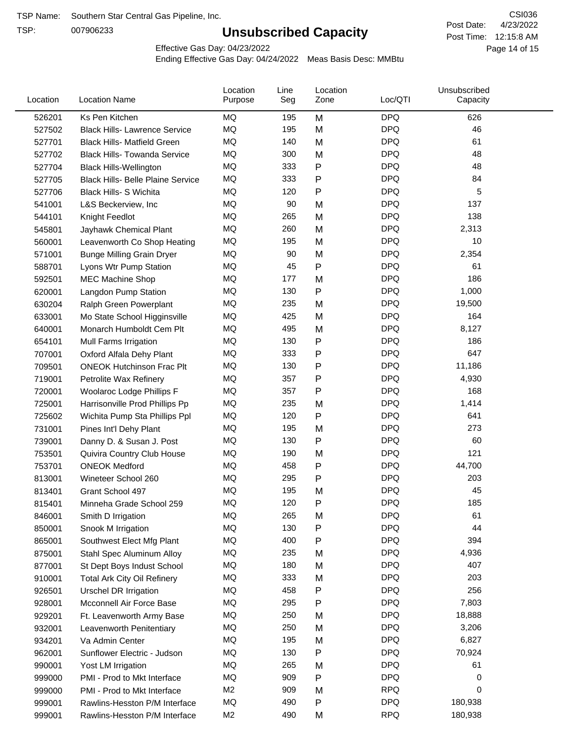TSP:

# **Unsubscribed Capacity**

4/23/2022 Page 14 of 15 Post Time: 12:15:8 AM CSI036 Post Date:

Effective Gas Day: 04/23/2022

| Location | <b>Location Name</b>                     | Location<br>Purpose | Line<br>Seg | Location<br>Zone | Loc/QTI    | Unsubscribed<br>Capacity |  |
|----------|------------------------------------------|---------------------|-------------|------------------|------------|--------------------------|--|
| 526201   | Ks Pen Kitchen                           | MQ                  | 195         | M                | <b>DPQ</b> | 626                      |  |
| 527502   | <b>Black Hills- Lawrence Service</b>     | MQ                  | 195         | M                | <b>DPQ</b> | 46                       |  |
| 527701   | <b>Black Hills- Matfield Green</b>       | <b>MQ</b>           | 140         | M                | <b>DPQ</b> | 61                       |  |
| 527702   | <b>Black Hills- Towanda Service</b>      | <b>MQ</b>           | 300         | M                | <b>DPQ</b> | 48                       |  |
| 527704   | <b>Black Hills-Wellington</b>            | MQ                  | 333         | P                | <b>DPQ</b> | 48                       |  |
| 527705   | <b>Black Hills- Belle Plaine Service</b> | MQ                  | 333         | P                | <b>DPQ</b> | 84                       |  |
| 527706   | Black Hills- S Wichita                   | MQ                  | 120         | $\mathsf{P}$     | <b>DPQ</b> | 5                        |  |
| 541001   | L&S Beckerview, Inc                      | MQ                  | 90          | M                | <b>DPQ</b> | 137                      |  |
| 544101   | Knight Feedlot                           | MQ                  | 265         | M                | <b>DPQ</b> | 138                      |  |
| 545801   | Jayhawk Chemical Plant                   | MQ                  | 260         | M                | <b>DPQ</b> | 2,313                    |  |
| 560001   | Leavenworth Co Shop Heating              | MQ                  | 195         | M                | <b>DPQ</b> | 10                       |  |
| 571001   | <b>Bunge Milling Grain Dryer</b>         | MQ                  | 90          | M                | <b>DPQ</b> | 2,354                    |  |
| 588701   | Lyons Wtr Pump Station                   | MQ                  | 45          | P                | <b>DPQ</b> | 61                       |  |
| 592501   | <b>MEC Machine Shop</b>                  | MQ                  | 177         | M                | <b>DPQ</b> | 186                      |  |
| 620001   | Langdon Pump Station                     | MQ                  | 130         | $\mathsf{P}$     | <b>DPQ</b> | 1,000                    |  |
| 630204   | Ralph Green Powerplant                   | MQ                  | 235         | M                | <b>DPQ</b> | 19,500                   |  |
| 633001   | Mo State School Higginsville             | MQ                  | 425         | M                | <b>DPQ</b> | 164                      |  |
| 640001   | Monarch Humboldt Cem Plt                 | MQ                  | 495         | M                | <b>DPQ</b> | 8,127                    |  |
| 654101   | Mull Farms Irrigation                    | MQ                  | 130         | P                | <b>DPQ</b> | 186                      |  |
| 707001   | Oxford Alfala Dehy Plant                 | MQ                  | 333         | ${\sf P}$        | <b>DPQ</b> | 647                      |  |
| 709501   | <b>ONEOK Hutchinson Frac Plt</b>         | MQ                  | 130         | P                | <b>DPQ</b> | 11,186                   |  |
| 719001   | Petrolite Wax Refinery                   | MQ                  | 357         | P                | <b>DPQ</b> | 4,930                    |  |
| 720001   | Woolaroc Lodge Phillips F                | MQ                  | 357         | $\mathsf{P}$     | <b>DPQ</b> | 168                      |  |
| 725001   | Harrisonville Prod Phillips Pp           | MQ                  | 235         | M                | <b>DPQ</b> | 1,414                    |  |
| 725602   | Wichita Pump Sta Phillips Ppl            | MQ                  | 120         | $\mathsf{P}$     | <b>DPQ</b> | 641                      |  |
| 731001   | Pines Int'l Dehy Plant                   | MQ                  | 195         | M                | <b>DPQ</b> | 273                      |  |
| 739001   | Danny D. & Susan J. Post                 | MQ                  | 130         | P                | <b>DPQ</b> | 60                       |  |
| 753501   | Quivira Country Club House               | MQ                  | 190         | M                | <b>DPQ</b> | 121                      |  |
| 753701   | <b>ONEOK Medford</b>                     | MQ                  | 458         | ${\sf P}$        | <b>DPQ</b> | 44,700                   |  |
| 813001   | Wineteer School 260                      | MQ                  | 295         | $\mathsf{P}$     | <b>DPQ</b> | 203                      |  |
| 813401   | Grant School 497                         | MQ                  | 195         | M                | <b>DPQ</b> | 45                       |  |
| 815401   | Minneha Grade School 259                 | MQ                  | 120         | Ρ                | DPQ        | 185                      |  |
| 846001   | Smith D Irrigation                       | MQ                  | 265         | M                | <b>DPQ</b> | 61                       |  |
| 850001   | Snook M Irrigation                       | MQ                  | 130         | ${\sf P}$        | <b>DPQ</b> | 44                       |  |
| 865001   | Southwest Elect Mfg Plant                | MQ                  | 400         | P                | <b>DPQ</b> | 394                      |  |
| 875001   | Stahl Spec Aluminum Alloy                | MQ                  | 235         | M                | <b>DPQ</b> | 4,936                    |  |
| 877001   | St Dept Boys Indust School               | MQ                  | 180         | M                | <b>DPQ</b> | 407                      |  |
| 910001   | <b>Total Ark City Oil Refinery</b>       | MQ                  | 333         | M                | <b>DPQ</b> | 203                      |  |
| 926501   | <b>Urschel DR Irrigation</b>             | MQ                  | 458         | P                | <b>DPQ</b> | 256                      |  |
| 928001   | Mcconnell Air Force Base                 | MQ                  | 295         | P                | <b>DPQ</b> | 7,803                    |  |
| 929201   | Ft. Leavenworth Army Base                | MQ                  | 250         | M                | <b>DPQ</b> | 18,888                   |  |
| 932001   | Leavenworth Penitentiary                 | MQ                  | 250         | M                | <b>DPQ</b> | 3,206                    |  |
| 934201   | Va Admin Center                          | MQ                  | 195         | M                | <b>DPQ</b> | 6,827                    |  |
| 962001   | Sunflower Electric - Judson              | MQ                  | 130         | P                | <b>DPQ</b> | 70,924                   |  |
| 990001   | Yost LM Irrigation                       | MQ                  | 265         | M                | <b>DPQ</b> | 61                       |  |
| 999000   | PMI - Prod to Mkt Interface              | MQ                  | 909         | P                | <b>DPQ</b> | 0                        |  |
| 999000   | PMI - Prod to Mkt Interface              | M <sub>2</sub>      | 909         | M                | <b>RPQ</b> | 0                        |  |
| 999001   | Rawlins-Hesston P/M Interface            | MQ                  | 490         | P                | <b>DPQ</b> | 180,938                  |  |
| 999001   | Rawlins-Hesston P/M Interface            | M <sub>2</sub>      | 490         | M                | <b>RPQ</b> | 180,938                  |  |
|          |                                          |                     |             |                  |            |                          |  |